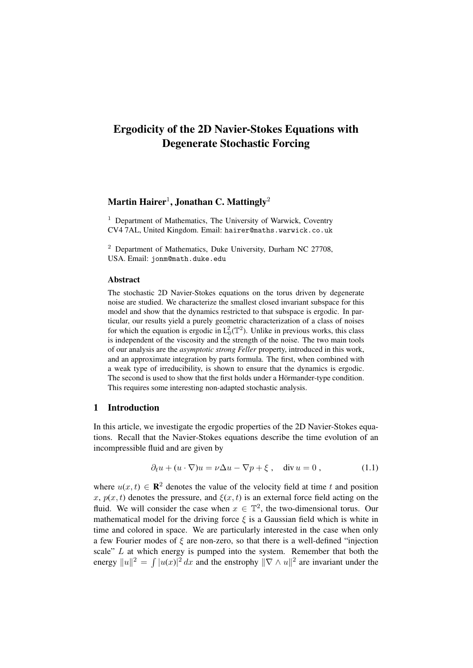# Ergodicity of the 2D Navier-Stokes Equations with Degenerate Stochastic Forcing

## Martin Hairer $^1$ , Jonathan C. Mattingly $^2$

 $1$  Department of Mathematics, The University of Warwick, Coventry CV4 7AL, United Kingdom. Email: hairer@maths.warwick.co.uk

<sup>2</sup> Department of Mathematics, Duke University, Durham NC 27708, USA. Email: jonm@math.duke.edu

#### Abstract

The stochastic 2D Navier-Stokes equations on the torus driven by degenerate noise are studied. We characterize the smallest closed invariant subspace for this model and show that the dynamics restricted to that subspace is ergodic. In particular, our results yield a purely geometric characterization of a class of noises for which the equation is ergodic in  $L_0^2(\mathbb{T}^2)$ . Unlike in previous works, this class is independent of the viscosity and the strength of the noise. The two main tools of our analysis are the *asymptotic strong Feller* property, introduced in this work, and an approximate integration by parts formula. The first, when combined with a weak type of irreducibility, is shown to ensure that the dynamics is ergodic. The second is used to show that the first holds under a Hörmander-type condition. This requires some interesting non-adapted stochastic analysis.

## 1 Introduction

In this article, we investigate the ergodic properties of the 2D Navier-Stokes equations. Recall that the Navier-Stokes equations describe the time evolution of an incompressible fluid and are given by

$$
\partial_t u + (u \cdot \nabla)u = \nu \Delta u - \nabla p + \xi \,, \quad \text{div } u = 0 \,, \tag{1.1}
$$

where  $u(x, t) \in \mathbb{R}^2$  denotes the value of the velocity field at time t and position x,  $p(x, t)$  denotes the pressure, and  $\xi(x, t)$  is an external force field acting on the fluid. We will consider the case when  $x \in \mathbb{T}^2$ , the two-dimensional torus. Our mathematical model for the driving force  $\xi$  is a Gaussian field which is white in time and colored in space. We are particularly interested in the case when only a few Fourier modes of  $\xi$  are non-zero, so that there is a well-defined "injection" scale" L at which energy is pumped into the system. Remember that both the energy  $||u||^2 = \int |u(x)|^2 dx$  and the enstrophy  $||\nabla \wedge u||^2$  are invariant under the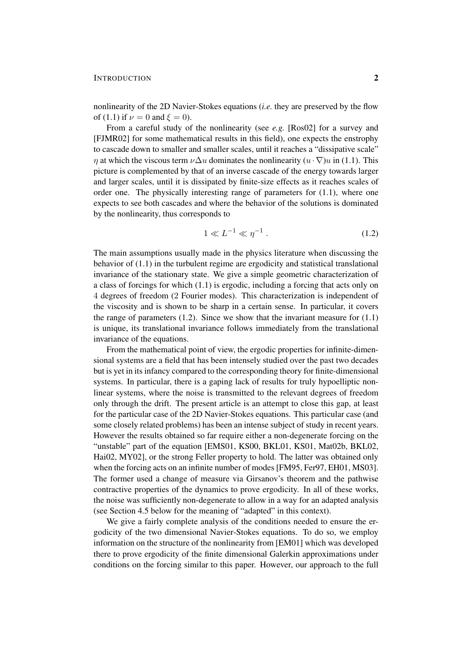## INTRODUCTION 2

nonlinearity of the 2D Navier-Stokes equations (*i.e.* they are preserved by the flow of (1.1) if  $\nu = 0$  and  $\xi = 0$ .

From a careful study of the nonlinearity (see *e.g.* [Ros02] for a survey and [FJMR02] for some mathematical results in this field), one expects the enstrophy to cascade down to smaller and smaller scales, until it reaches a "dissipative scale"  $\eta$  at which the viscous term  $\nu \Delta u$  dominates the nonlinearity  $(u \cdot \nabla)u$  in (1.1). This picture is complemented by that of an inverse cascade of the energy towards larger and larger scales, until it is dissipated by finite-size effects as it reaches scales of order one. The physically interesting range of parameters for (1.1), where one expects to see both cascades and where the behavior of the solutions is dominated by the nonlinearity, thus corresponds to

$$
1 \ll L^{-1} \ll \eta^{-1} \,. \tag{1.2}
$$

The main assumptions usually made in the physics literature when discussing the behavior of (1.1) in the turbulent regime are ergodicity and statistical translational invariance of the stationary state. We give a simple geometric characterization of a class of forcings for which (1.1) is ergodic, including a forcing that acts only on 4 degrees of freedom (2 Fourier modes). This characterization is independent of the viscosity and is shown to be sharp in a certain sense. In particular, it covers the range of parameters  $(1.2)$ . Since we show that the invariant measure for  $(1.1)$ is unique, its translational invariance follows immediately from the translational invariance of the equations.

From the mathematical point of view, the ergodic properties for infinite-dimensional systems are a field that has been intensely studied over the past two decades but is yet in its infancy compared to the corresponding theory for finite-dimensional systems. In particular, there is a gaping lack of results for truly hypoelliptic nonlinear systems, where the noise is transmitted to the relevant degrees of freedom only through the drift. The present article is an attempt to close this gap, at least for the particular case of the 2D Navier-Stokes equations. This particular case (and some closely related problems) has been an intense subject of study in recent years. However the results obtained so far require either a non-degenerate forcing on the "unstable" part of the equation [EMS01, KS00, BKL01, KS01, Mat02b, BKL02, Hai02, MY02], or the strong Feller property to hold. The latter was obtained only when the forcing acts on an infinite number of modes [FM95, Fer97, EH01, MS03]. The former used a change of measure via Girsanov's theorem and the pathwise contractive properties of the dynamics to prove ergodicity. In all of these works, the noise was sufficiently non-degenerate to allow in a way for an adapted analysis (see Section 4.5 below for the meaning of "adapted" in this context).

We give a fairly complete analysis of the conditions needed to ensure the ergodicity of the two dimensional Navier-Stokes equations. To do so, we employ information on the structure of the nonlinearity from [EM01] which was developed there to prove ergodicity of the finite dimensional Galerkin approximations under conditions on the forcing similar to this paper. However, our approach to the full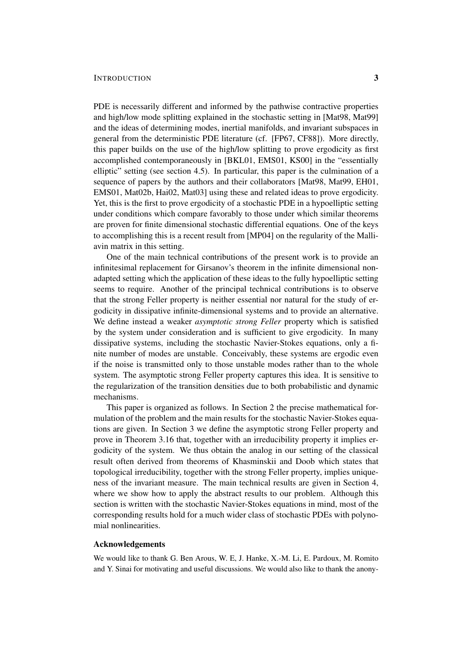## INTRODUCTION 3

PDE is necessarily different and informed by the pathwise contractive properties and high/low mode splitting explained in the stochastic setting in [Mat98, Mat99] and the ideas of determining modes, inertial manifolds, and invariant subspaces in general from the deterministic PDE literature (cf. [FP67, CF88]). More directly, this paper builds on the use of the high/low splitting to prove ergodicity as first accomplished contemporaneously in [BKL01, EMS01, KS00] in the "essentially elliptic" setting (see section 4.5). In particular, this paper is the culmination of a sequence of papers by the authors and their collaborators [Mat98, Mat99, EH01, EMS01, Mat02b, Hai02, Mat03] using these and related ideas to prove ergodicity. Yet, this is the first to prove ergodicity of a stochastic PDE in a hypoelliptic setting under conditions which compare favorably to those under which similar theorems are proven for finite dimensional stochastic differential equations. One of the keys to accomplishing this is a recent result from [MP04] on the regularity of the Malliavin matrix in this setting.

One of the main technical contributions of the present work is to provide an infinitesimal replacement for Girsanov's theorem in the infinite dimensional nonadapted setting which the application of these ideas to the fully hypoelliptic setting seems to require. Another of the principal technical contributions is to observe that the strong Feller property is neither essential nor natural for the study of ergodicity in dissipative infinite-dimensional systems and to provide an alternative. We define instead a weaker *asymptotic strong Feller* property which is satisfied by the system under consideration and is sufficient to give ergodicity. In many dissipative systems, including the stochastic Navier-Stokes equations, only a finite number of modes are unstable. Conceivably, these systems are ergodic even if the noise is transmitted only to those unstable modes rather than to the whole system. The asymptotic strong Feller property captures this idea. It is sensitive to the regularization of the transition densities due to both probabilistic and dynamic mechanisms.

This paper is organized as follows. In Section 2 the precise mathematical formulation of the problem and the main results for the stochastic Navier-Stokes equations are given. In Section 3 we define the asymptotic strong Feller property and prove in Theorem 3.16 that, together with an irreducibility property it implies ergodicity of the system. We thus obtain the analog in our setting of the classical result often derived from theorems of Khasminskii and Doob which states that topological irreducibility, together with the strong Feller property, implies uniqueness of the invariant measure. The main technical results are given in Section 4, where we show how to apply the abstract results to our problem. Although this section is written with the stochastic Navier-Stokes equations in mind, most of the corresponding results hold for a much wider class of stochastic PDEs with polynomial nonlinearities.

## Acknowledgements

We would like to thank G. Ben Arous, W. E, J. Hanke, X.-M. Li, E. Pardoux, M. Romito and Y. Sinai for motivating and useful discussions. We would also like to thank the anony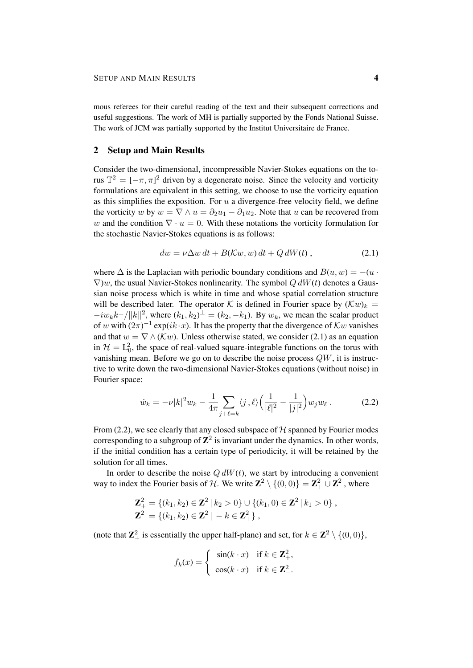mous referees for their careful reading of the text and their subsequent corrections and useful suggestions. The work of MH is partially supported by the Fonds National Suisse. The work of JCM was partially supported by the Institut Universitaire de France.

## 2 Setup and Main Results

Consider the two-dimensional, incompressible Navier-Stokes equations on the torus  $\mathbb{T}^2 = [-\pi, \pi]^2$  driven by a degenerate noise. Since the velocity and vorticity formulations are equivalent in this setting, we choose to use the vorticity equation as this simplifies the exposition. For  $u$  a divergence-free velocity field, we define the vorticity w by  $w = \nabla \wedge u = \partial_2 u_1 - \partial_1 u_2$ . Note that u can be recovered from w and the condition  $\nabla \cdot u = 0$ . With these notations the vorticity formulation for the stochastic Navier-Stokes equations is as follows:

$$
dw = \nu \Delta w dt + B(\mathcal{K}w, w) dt + Q dW(t), \qquad (2.1)
$$

where  $\Delta$  is the Laplacian with periodic boundary conditions and  $B(u, w) = -(u \cdot w)$  $\nabla$ )w, the usual Navier-Stokes nonlinearity. The symbol  $Q dW(t)$  denotes a Gaussian noise process which is white in time and whose spatial correlation structure will be described later. The operator K is defined in Fourier space by  $(\mathcal{K}w)_k =$  $-i w_k k^{\perp}/||k||^2$ , where  $(k_1, k_2)^{\perp} = (k_2, -k_1)$ . By  $w_k$ , we mean the scalar product of w with  $(2\pi)^{-1}$  exp( $ik \cdot x$ ). It has the property that the divergence of  $Kw$  vanishes and that  $w = \nabla \wedge (\mathcal{K}w)$ . Unless otherwise stated, we consider (2.1) as an equation in  $\mathcal{H} = L_0^2$ , the space of real-valued square-integrable functions on the torus with vanishing mean. Before we go on to describe the noise process QW, it is instructive to write down the two-dimensional Navier-Stokes equations (without noise) in Fourier space:

$$
\dot{w}_k = -\nu |k|^2 w_k - \frac{1}{4\pi} \sum_{j+\ell=k} \langle j^{\frac{1}{2}} \ell \rangle \left( \frac{1}{|\ell|^2} - \frac{1}{|j|^2} \right) w_j w_\ell . \tag{2.2}
$$

From (2.2), we see clearly that any closed subspace of  $H$  spanned by Fourier modes corresponding to a subgroup of  $\mathbb{Z}^2$  is invariant under the dynamics. In other words, if the initial condition has a certain type of periodicity, it will be retained by the solution for all times.

In order to describe the noise  $Q dW(t)$ , we start by introducing a convenient way to index the Fourier basis of H. We write  $\mathbb{Z}^2 \setminus \{(0,0)\} = \mathbb{Z}_+^2 \cup \mathbb{Z}_-^2$ , where

$$
\mathbf{Z}_{+}^{2} = \{ (k_{1}, k_{2}) \in \mathbf{Z}^{2} \mid k_{2} > 0 \} \cup \{ (k_{1}, 0) \in \mathbf{Z}^{2} \mid k_{1} > 0 \},
$$
  

$$
\mathbf{Z}_{-}^{2} = \{ (k_{1}, k_{2}) \in \mathbf{Z}^{2} \mid -k \in \mathbf{Z}_{+}^{2} \},
$$

(note that  $\mathbb{Z}_+^2$  is essentially the upper half-plane) and set, for  $k \in \mathbb{Z}^2 \setminus \{(0,0)\},$ 

$$
f_k(x) = \begin{cases} \sin(k \cdot x) & \text{if } k \in \mathbb{Z}_+^2, \\ \cos(k \cdot x) & \text{if } k \in \mathbb{Z}_-^2. \end{cases}
$$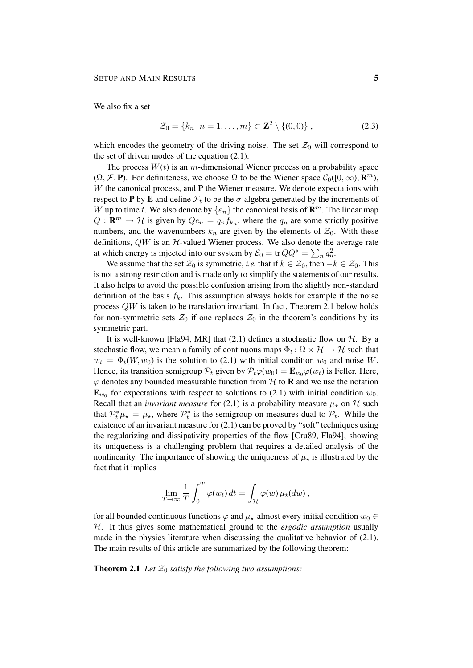We also fix a set

$$
\mathcal{Z}_0 = \{ k_n \, | \, n = 1, \dots, m \} \subset \mathbb{Z}^2 \setminus \{ (0, 0) \} \,, \tag{2.3}
$$

which encodes the geometry of the driving noise. The set  $\mathcal{Z}_0$  will correspond to the set of driven modes of the equation (2.1).

The process  $W(t)$  is an m-dimensional Wiener process on a probability space  $(\Omega, \mathcal{F}, \mathbf{P})$ . For definiteness, we choose  $\Omega$  to be the Wiener space  $\mathcal{C}_0([0,\infty), \mathbf{R}^m)$ ,  $W$  the canonical process, and  $P$  the Wiener measure. We denote expectations with respect to **P** by **E** and define  $\mathcal{F}_t$  to be the  $\sigma$ -algebra generated by the increments of W up to time t. We also denote by  $\{e_n\}$  the canonical basis of  $\mathbb{R}^m$ . The linear map  $Q: \mathbf{R}^m \to \mathcal{H}$  is given by  $Qe_n = q_n f_{k_n}$ , where the  $q_n$  are some strictly positive numbers, and the wavenumbers  $k_n$  are given by the elements of  $\mathcal{Z}_0$ . With these definitions,  $QW$  is an  $H$ -valued Wiener process. We also denote the average rate at which energy is injected into our system by  $\mathcal{E}_0 = \text{tr} \, Q Q^* = \sum_n q_n^2$ .

We assume that the set  $\mathcal{Z}_0$  is symmetric, *i.e.* that if  $k \in \mathcal{Z}_0$ , then  $-k \in \mathcal{Z}_0$ . This is not a strong restriction and is made only to simplify the statements of our results. It also helps to avoid the possible confusion arising from the slightly non-standard definition of the basis  $f_k$ . This assumption always holds for example if the noise process QW is taken to be translation invariant. In fact, Theorem 2.1 below holds for non-symmetric sets  $\mathcal{Z}_0$  if one replaces  $\mathcal{Z}_0$  in the theorem's conditions by its symmetric part.

It is well-known [Fla94, MR] that  $(2.1)$  defines a stochastic flow on  $H$ . By a stochastic flow, we mean a family of continuous maps  $\Phi_t \colon \Omega \times \mathcal{H} \to \mathcal{H}$  such that  $w_t = \Phi_t(W, w_0)$  is the solution to (2.1) with initial condition  $w_0$  and noise W. Hence, its transition semigroup  $P_t$  given by  $P_t\varphi(w_0) = \mathbf{E}_{w_0}\varphi(w_t)$  is Feller. Here,  $\varphi$  denotes any bounded measurable function from H to **R** and we use the notation  $\mathbf{E}_{w_0}$  for expectations with respect to solutions to (2.1) with initial condition  $w_0$ . Recall that an *invariant measure* for (2.1) is a probability measure  $\mu_{\star}$  on H such that  $\mathcal{P}_t^* \mu_{\star} = \mu_{\star}$ , where  $\mathcal{P}_t^*$  is the semigroup on measures dual to  $\mathcal{P}_t$ . While the existence of an invariant measure for (2.1) can be proved by "soft" techniques using the regularizing and dissipativity properties of the flow [Cru89, Fla94], showing its uniqueness is a challenging problem that requires a detailed analysis of the nonlinearity. The importance of showing the uniqueness of  $\mu_{\star}$  is illustrated by the fact that it implies

$$
\lim_{T \to \infty} \frac{1}{T} \int_0^T \varphi(w_t) dt = \int_{\mathcal{H}} \varphi(w) \mu_{\star}(dw) ,
$$

for all bounded continuous functions  $\varphi$  and  $\mu_{\star}$ -almost every initial condition  $w_0 \in$ H. It thus gives some mathematical ground to the *ergodic assumption* usually made in the physics literature when discussing the qualitative behavior of  $(2.1)$ . The main results of this article are summarized by the following theorem:

**Theorem 2.1** *Let*  $\mathcal{Z}_0$  *satisfy the following two assumptions:*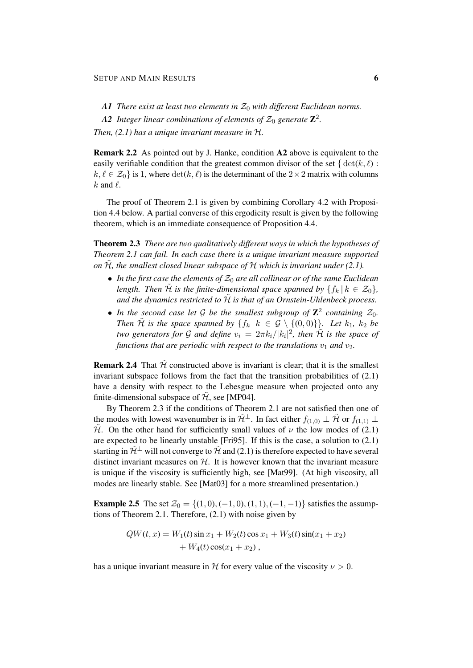- A1 *There exist at least two elements in*  $\mathcal{Z}_0$  *with different Euclidean norms.*
- $A2$  *Integer linear combinations of elements of*  $\mathcal{Z}_0$  *generate*  $\mathbf{Z}^2$ *.*

*Then, (2.1) has a unique invariant measure in* H*.*

Remark 2.2 As pointed out by J. Hanke, condition A2 above is equivalent to the easily verifiable condition that the greatest common divisor of the set  $\{\det(k, \ell):$  $k, \ell \in \mathcal{Z}_0$  is 1, where  $\det(k, \ell)$  is the determinant of the 2×2 matrix with columns  $k$  and  $\ell$ .

The proof of Theorem 2.1 is given by combining Corollary 4.2 with Proposition 4.4 below. A partial converse of this ergodicity result is given by the following theorem, which is an immediate consequence of Proposition 4.4.

Theorem 2.3 *There are two qualitatively different ways in which the hypotheses of Theorem 2.1 can fail. In each case there is a unique invariant measure supported on* H˜*, the smallest closed linear subspace of* H *which is invariant under (2.1).*

- In the first case the elements of  $\mathcal{Z}_0$  are all collinear or of the same Euclidean *length. Then*  $\tilde{\mathcal{H}}$  *is the finite-dimensional space spanned by*  $\{f_k | k \in \mathcal{Z}_0\}$ , and the dynamics restricted to  $\tilde{\mathcal{H}}$  is that of an Ornstein-Uhlenbeck process.
- In the second case let  $\mathcal G$  be the smallest subgroup of  $\mathbb Z^2$  containing  $\mathcal Z_0$ . *Then*  $\tilde{\mathcal{H}}$  *is the space spanned by*  $\{f_k | k \in \mathcal{G} \setminus \{(0,0)\}\}\$ *. Let*  $k_1$ *,*  $k_2$  *be two generators for G and define*  $v_i = 2\pi k_i / |k_i|^2$ , then  $\tilde{\mathcal{H}}$  is the space of *functions that are periodic with respect to the translations*  $v_1$  *and*  $v_2$ *.*

**Remark 2.4** That  $\tilde{\mathcal{H}}$  constructed above is invariant is clear; that it is the smallest invariant subspace follows from the fact that the transition probabilities of (2.1) have a density with respect to the Lebesgue measure when projected onto any finite-dimensional subspace of  $\tilde{\mathcal{H}}$ , see [MP04].

By Theorem 2.3 if the conditions of Theorem 2.1 are not satisfied then one of the modes with lowest wavenumber is in  $\tilde{\mathcal{H}}^{\perp}$ . In fact either  $f_{(1,0)} \perp \tilde{\mathcal{H}}$  or  $f_{(1,1)} \perp$  $\tilde{\mathcal{H}}$ . On the other hand for sufficiently small values of  $\nu$  the low modes of (2.1) are expected to be linearly unstable [Fri95]. If this is the case, a solution to (2.1) starting in  $\tilde{\mathcal{H}}^{\perp}$  will not converge to  $\tilde{\mathcal{H}}$  and (2.1) is therefore expected to have several distinct invariant measures on  $H$ . It is however known that the invariant measure is unique if the viscosity is sufficiently high, see [Mat99]. (At high viscosity, all modes are linearly stable. See [Mat03] for a more streamlined presentation.)

**Example 2.5** The set  $\mathcal{Z}_0 = \{(1, 0), (-1, 0), (1, 1), (-1, -1)\}$  satisfies the assumptions of Theorem 2.1. Therefore, (2.1) with noise given by

$$
QW(t, x) = W_1(t) \sin x_1 + W_2(t) \cos x_1 + W_3(t) \sin(x_1 + x_2)
$$
  
+ 
$$
W_4(t) \cos(x_1 + x_2),
$$

has a unique invariant measure in H for every value of the viscosity  $\nu > 0$ .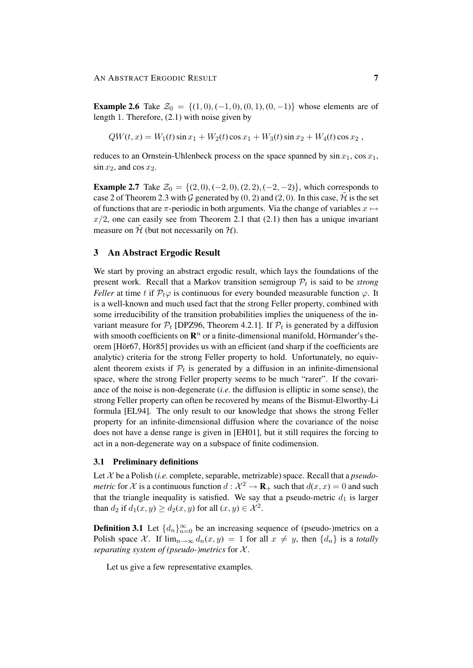**Example 2.6** Take  $\mathcal{Z}_0 = \{(1,0), (-1,0), (0,1), (0,-1)\}$  whose elements are of length 1. Therefore, (2.1) with noise given by

$$
QW(t, x) = W_1(t) \sin x_1 + W_2(t) \cos x_1 + W_3(t) \sin x_2 + W_4(t) \cos x_2,
$$

reduces to an Ornstein-Uhlenbeck process on the space spanned by  $\sin x_1$ ,  $\cos x_1$ ,  $\sin x_2$ , and  $\cos x_2$ .

**Example 2.7** Take  $\mathcal{Z}_0 = \{(2,0), (-2,0), (2,2), (-2,-2)\}\)$ , which corresponds to case 2 of Theorem 2.3 with G generated by  $(0, 2)$  and  $(2, 0)$ . In this case,  $\hat{\mathcal{H}}$  is the set of functions that are  $\pi$ -periodic in both arguments. Via the change of variables  $x \mapsto$  $x/2$ , one can easily see from Theorem 2.1 that (2.1) then has a unique invariant measure on  $\tilde{\mathcal{H}}$  (but not necessarily on  $\mathcal{H}$ ).

## 3 An Abstract Ergodic Result

We start by proving an abstract ergodic result, which lays the foundations of the present work. Recall that a Markov transition semigroup  $P_t$  is said to be *strong Feller* at time t if  $\mathcal{P}_t \varphi$  is continuous for every bounded measurable function  $\varphi$ . It is a well-known and much used fact that the strong Feller property, combined with some irreducibility of the transition probabilities implies the uniqueness of the invariant measure for  $P_t$  [DPZ96, Theorem 4.2.1]. If  $P_t$  is generated by a diffusion with smooth coefficients on  $\mathbb{R}^n$  or a finite-dimensional manifold, Hörmander's theorem [Hör67, Hör85] provides us with an efficient (and sharp if the coefficients are analytic) criteria for the strong Feller property to hold. Unfortunately, no equivalent theorem exists if  $P_t$  is generated by a diffusion in an infinite-dimensional space, where the strong Feller property seems to be much "rarer". If the covariance of the noise is non-degenerate (*i.e.* the diffusion is elliptic in some sense), the strong Feller property can often be recovered by means of the Bismut-Elworthy-Li formula [EL94]. The only result to our knowledge that shows the strong Feller property for an infinite-dimensional diffusion where the covariance of the noise does not have a dense range is given in [EH01], but it still requires the forcing to act in a non-degenerate way on a subspace of finite codimension.

#### 3.1 Preliminary definitions

Let X be a Polish (*i.e.* complete, separable, metrizable) space. Recall that a *pseudometric* for X is a continuous function  $d: \mathcal{X}^2 \to \mathbf{R}_+$  such that  $d(x, x) = 0$  and such that the triangle inequality is satisfied. We say that a pseudo-metric  $d_1$  is larger than  $d_2$  if  $d_1(x, y) \ge d_2(x, y)$  for all  $(x, y) \in \mathcal{X}^2$ .

**Definition 3.1** Let  $\{d_n\}_{n=0}^{\infty}$  be an increasing sequence of (pseudo-)metrics on a Polish space X. If  $\lim_{n\to\infty} d_n(x, y) = 1$  for all  $x \neq y$ , then  $\{d_n\}$  is a *totally separating system of (pseudo-)metrics* for X .

Let us give a few representative examples.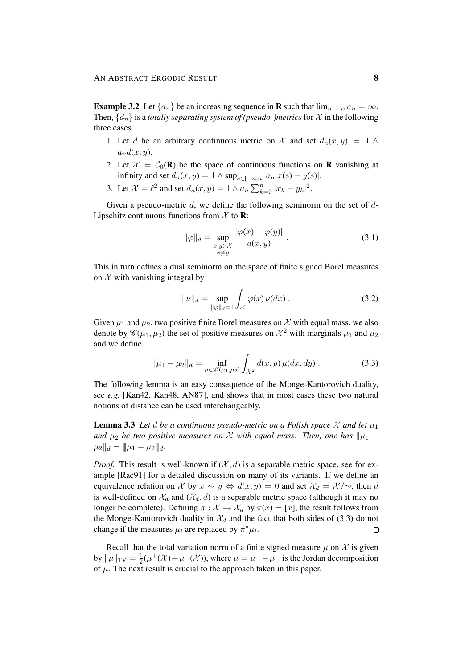**Example 3.2** Let  $\{a_n\}$  be an increasing sequence in **R** such that  $\lim_{n\to\infty} a_n = \infty$ . Then,  $\{d_n\}$  is a *totally separating system of (pseudo-)metrics* for X in the following three cases.

- 1. Let d be an arbitrary continuous metric on X and set  $d_n(x, y) = 1 \land$  $a_n d(x, y)$ .
- 2. Let  $\mathcal{X} = \mathcal{C}_0(\mathbf{R})$  be the space of continuous functions on **R** vanishing at infinity and set  $d_n(x, y) = 1 \wedge \sup_{s \in [-n, n]} a_n |x(s) - y(s)|$ .
- 3. Let  $\mathcal{X} = \ell^2$  and set  $d_n(x, y) = 1 \wedge a_n \sum_{k=0}^n |x_k y_k|^2$ .

Given a pseudo-metric  $d$ , we define the following seminorm on the set of  $d$ -Lipschitz continuous functions from  $X$  to **R**:

$$
\|\varphi\|_{d} = \sup_{\substack{x,y \in \mathcal{X} \\ x \neq y}} \frac{|\varphi(x) - \varphi(y)|}{d(x,y)} .
$$
\n(3.1)

This in turn defines a dual seminorm on the space of finite signed Borel measures on  $X$  with vanishing integral by

$$
\|\nu\|_{d} = \sup_{\|\varphi\|_{d} = 1} \int_{\mathcal{X}} \varphi(x) \, \nu(dx) \,.
$$
 (3.2)

Given  $\mu_1$  and  $\mu_2$ , two positive finite Borel measures on X with equal mass, we also denote by  $\mathscr{C}(\mu_1, \mu_2)$  the set of positive measures on  $\mathcal{X}^2$  with marginals  $\mu_1$  and  $\mu_2$ and we define

$$
\|\mu_1 - \mu_2\|_d = \inf_{\mu \in \mathscr{C}(\mu_1, \mu_2)} \int_{\mathcal{X}^2} d(x, y) \,\mu(dx, dy) \,.
$$
 (3.3)

The following lemma is an easy consequence of the Monge-Kantorovich duality, see *e.g.* [Kan42, Kan48, AN87], and shows that in most cases these two natural notions of distance can be used interchangeably.

**Lemma 3.3** Let d be a continuous pseudo-metric on a Polish space X and let  $\mu_1$ *and*  $\mu_2$  *be two positive measures on* X *with equal mass. Then, one has*  $\|\mu_1 - \mu_2\|$  $\|\mu_2\|_d = \|\mu_1 - \mu_2\|_d.$ 

*Proof.* This result is well-known if  $(X, d)$  is a separable metric space, see for example [Rac91] for a detailed discussion on many of its variants. If we define an equivalence relation on X by  $x \sim y \Leftrightarrow d(x, y) = 0$  and set  $\mathcal{X}_d = \mathcal{X}/\sim$ , then d is well-defined on  $\mathcal{X}_d$  and  $(\mathcal{X}_d, d)$  is a separable metric space (although it may no longer be complete). Defining  $\pi : \mathcal{X} \to \mathcal{X}_d$  by  $\pi(x) = [x]$ , the result follows from the Monge-Kantorovich duality in  $\mathcal{X}_d$  and the fact that both sides of (3.3) do not change if the measures  $\mu_i$  are replaced by  $\pi^* \mu_i$ .  $\Box$ 

Recall that the total variation norm of a finite signed measure  $\mu$  on X is given by  $\|\mu\|_{\text{TV}} = \frac{1}{2}$  $\frac{1}{2}(\mu^+(\mathcal{X}) + \mu^-(\mathcal{X}))$ , where  $\mu = \mu^+ - \mu^-$  is the Jordan decomposition of  $\mu$ . The next result is crucial to the approach taken in this paper.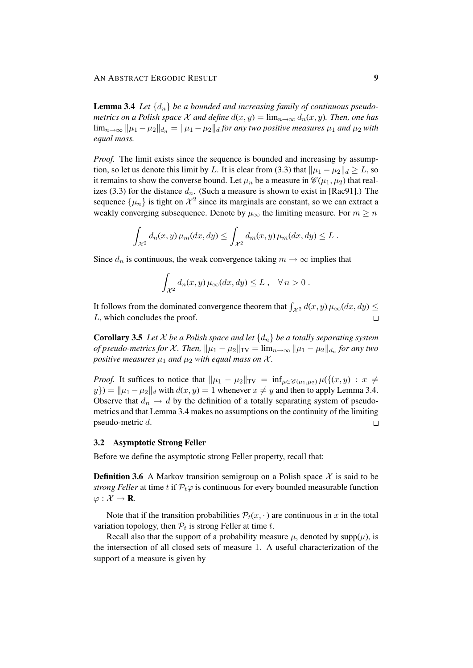**Lemma 3.4** Let  $\{d_n\}$  be a bounded and increasing family of continuous pseudo*metrics on a Polish space* X *and define*  $d(x, y) = \lim_{n \to \infty} d_n(x, y)$ . Then, one has  $\lim_{n\to\infty} ||\mu_1 - \mu_2||_{d_n} = ||\mu_1 - \mu_2||_d$  *for any two positive measures*  $\mu_1$  *and*  $\mu_2$  *with equal mass.*

*Proof.* The limit exists since the sequence is bounded and increasing by assumption, so let us denote this limit by L. It is clear from (3.3) that  $\|\mu_1 - \mu_2\|_d \geq L$ , so it remains to show the converse bound. Let  $\mu_n$  be a measure in  $\mathscr{C}(\mu_1, \mu_2)$  that realizes (3.3) for the distance  $d_n$ . (Such a measure is shown to exist in [Rac91].) The sequence  $\{\mu_n\}$  is tight on  $\mathcal{X}^2$  since its marginals are constant, so we can extract a weakly converging subsequence. Denote by  $\mu_{\infty}$  the limiting measure. For  $m \geq n$ 

$$
\int_{\mathcal{X}^2} d_n(x, y) \,\mu_m(dx, dy) \leq \int_{\mathcal{X}^2} d_m(x, y) \,\mu_m(dx, dy) \leq L.
$$

Since  $d_n$  is continuous, the weak convergence taking  $m \to \infty$  implies that

$$
\int_{\mathcal{X}^2} d_n(x, y) \,\mu_\infty(dx, dy) \leq L \,, \quad \forall \, n > 0 \,.
$$

It follows from the dominated convergence theorem that  $\int_{\mathcal{X}^2} d(x, y) \mu_{\infty}(dx, dy) \leq$ L, which concludes the proof.  $\Box$ 

**Corollary 3.5** Let X be a Polish space and let  $\{d_n\}$  be a totally separating system *of pseudo-metrics for X. Then,*  $\|\mu_1 - \mu_2\|_{TV} = \lim_{n\to\infty} \|\mu_1 - \mu_2\|_{d_n}$  *for any two positive measures*  $\mu_1$  *and*  $\mu_2$  *with equal mass on*  $\mathcal{X}$ *.* 

*Proof.* It suffices to notice that  $\|\mu_1 - \mu_2\|_{TV} = \inf_{\mu \in \mathcal{C}(\mu_1, \mu_2)} \mu({(x, y) : x \neq \mu_1, \mu_2)}$  $y$ }) =  $\|\mu_1 - \mu_2\|_d$  with  $d(x, y) = 1$  whenever  $x \neq y$  and then to apply Lemma 3.4. Observe that  $d_n \to d$  by the definition of a totally separating system of pseudometrics and that Lemma 3.4 makes no assumptions on the continuity of the limiting pseudo-metric d.  $\Box$ 

## 3.2 Asymptotic Strong Feller

Before we define the asymptotic strong Feller property, recall that:

**Definition 3.6** A Markov transition semigroup on a Polish space  $X$  is said to be *strong Feller* at time t if  $\mathcal{P}_t\varphi$  is continuous for every bounded measurable function  $\varphi: \mathcal{X} \to \mathbf{R}$ .

Note that if the transition probabilities  $\mathcal{P}_t(x, \cdot)$  are continuous in x in the total variation topology, then  $P_t$  is strong Feller at time t.

Recall also that the support of a probability measure  $\mu$ , denoted by supp( $\mu$ ), is the intersection of all closed sets of measure 1. A useful characterization of the support of a measure is given by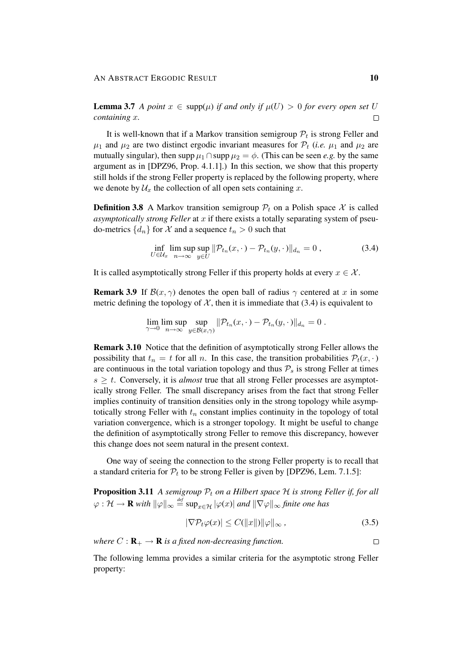**Lemma 3.7** *A point*  $x \in \text{supp}(\mu)$  *if and only if*  $\mu(U) > 0$  *for every open set* U *containing* x*.*  $\Box$ 

It is well-known that if a Markov transition semigroup  $P_t$  is strong Feller and  $\mu_1$  and  $\mu_2$  are two distinct ergodic invariant measures for  $\mathcal{P}_t$  (*i.e.*  $\mu_1$  and  $\mu_2$  are mutually singular), then  $\sup p \mu_1 \cap \sup p \mu_2 = \phi$ . (This can be seen *e.g.* by the same argument as in [DPZ96, Prop. 4.1.1].) In this section, we show that this property still holds if the strong Feller property is replaced by the following property, where we denote by  $\mathcal{U}_x$  the collection of all open sets containing x.

**Definition 3.8** A Markov transition semigroup  $P_t$  on a Polish space X is called *asymptotically strong Feller* at x if there exists a totally separating system of pseudo-metrics  $\{d_n\}$  for X and a sequence  $t_n > 0$  such that

$$
\inf_{U \in \mathcal{U}_x} \limsup_{n \to \infty} \sup_{y \in U} \|\mathcal{P}_{t_n}(x, \cdot) - \mathcal{P}_{t_n}(y, \cdot)\|_{d_n} = 0,
$$
\n(3.4)

It is called asymptotically strong Feller if this property holds at every  $x \in \mathcal{X}$ .

**Remark 3.9** If  $\mathcal{B}(x, \gamma)$  denotes the open ball of radius  $\gamma$  centered at x in some metric defining the topology of  $\mathcal{X}$ , then it is immediate that (3.4) is equivalent to

$$
\lim_{\gamma \to 0} \limsup_{n \to \infty} \sup_{y \in \mathcal{B}(x,\gamma)} ||\mathcal{P}_{t_n}(x,\cdot) - \mathcal{P}_{t_n}(y,\cdot)||_{d_n} = 0.
$$

Remark 3.10 Notice that the definition of asymptotically strong Feller allows the possibility that  $t_n = t$  for all n. In this case, the transition probabilities  $\mathcal{P}_t(x, \cdot)$ are continuous in the total variation topology and thus  $P_s$  is strong Feller at times  $s \geq t$ . Conversely, it is *almost* true that all strong Feller processes are asymptotically strong Feller. The small discrepancy arises from the fact that strong Feller implies continuity of transition densities only in the strong topology while asymptotically strong Feller with  $t_n$  constant implies continuity in the topology of total variation convergence, which is a stronger topology. It might be useful to change the definition of asymptotically strong Feller to remove this discrepancy, however this change does not seem natural in the present context.

One way of seeing the connection to the strong Feller property is to recall that a standard criteria for  $P_t$  to be strong Feller is given by [DPZ96, Lem. 7.1.5]:

**Proposition 3.11** A semigroup  $P_t$  on a Hilbert space  $H$  is strong Feller if, for all  $\varphi: \mathcal{H} \to \mathbf{R}$  with  $\|\varphi\|_{\infty} \stackrel{\text{\it def}}{=} \sup_{x \in \mathcal{H}} |\varphi(x)|$  and  $\|\nabla \varphi\|_{\infty}$  finite one has

$$
|\nabla \mathcal{P}_t \varphi(x)| \le C(||x||) ||\varphi||_{\infty}, \qquad (3.5)
$$

*where*  $C: \mathbf{R}_{+} \to \mathbf{R}$  *is a fixed non-decreasing function.*  $\Box$ 

The following lemma provides a similar criteria for the asymptotic strong Feller property: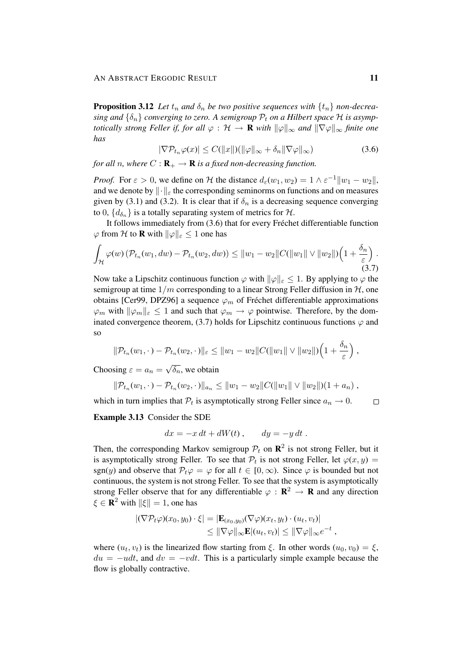**Proposition 3.12** Let  $t_n$  and  $\delta_n$  be two positive sequences with  $\{t_n\}$  non-decrea- $\sin g$  and  $\{\delta_n\}$  *converging to zero.* A semigroup  $\mathcal{P}_t$  *on a Hilbert space*  $\mathcal{H}$  *is asymptotically strong Feller if, for all*  $\varphi : \mathcal{H} \to \mathbf{R}$  *with*  $\|\varphi\|_{\infty}$  *and*  $\|\nabla \varphi\|_{\infty}$  *finite one has*

$$
|\nabla P_{t_n}\varphi(x)| \le C(||x||)(||\varphi||_{\infty} + \delta_n ||\nabla \varphi||_{\infty})
$$
\n(3.6)

*for all n, where*  $C: \mathbf{R}_{+} \to \mathbf{R}$  *is a fixed non-decreasing function.* 

*Proof.* For  $\varepsilon > 0$ , we define on H the distance  $d_{\varepsilon}(w_1, w_2) = 1 \wedge \varepsilon^{-1} ||w_1 - w_2||$ , and we denote by  $\|\cdot\|_{\varepsilon}$  the corresponding seminorms on functions and on measures given by (3.1) and (3.2). It is clear that if  $\delta_n$  is a decreasing sequence converging to 0,  $\{d_{\delta_n}\}$  is a totally separating system of metrics for  $\mathcal{H}$ .

It follows immediately from (3.6) that for every Fréchet differentiable function  $\varphi$  from H to **R** with  $\|\varphi\|_{\varepsilon} \leq 1$  one has

$$
\int_{\mathcal{H}} \varphi(w) \left( \mathcal{P}_{t_n}(w_1, dw) - \mathcal{P}_{t_n}(w_2, dw) \right) \leq ||w_1 - w_2||C(||w_1|| \vee ||w_2||) \left( 1 + \frac{\delta_n}{\varepsilon} \right).
$$
\n(3.7)

Now take a Lipschitz continuous function  $\varphi$  with  $\|\varphi\|_{\varepsilon} \leq 1$ . By applying to  $\varphi$  the semigroup at time  $1/m$  corresponding to a linear Strong Feller diffusion in  $H$ , one obtains [Cer99, DPZ96] a sequence  $\varphi_m$  of Fréchet differentiable approximations  $\varphi_m$  with  $\|\varphi_m\|_{\varepsilon} \leq 1$  and such that  $\varphi_m \to \varphi$  pointwise. Therefore, by the dominated convergence theorem, (3.7) holds for Lipschitz continuous functions  $\varphi$  and so

$$
\|\mathcal{P}_{t_n}(w_1,\cdot)-\mathcal{P}_{t_n}(w_2,\cdot)\|_{\varepsilon}\leq \|w_1-w_2\|C(\|w_1\|\vee\|w_2\|)\Big(1+\frac{\delta_n}{\varepsilon}\Big),\,
$$

Choosing  $\varepsilon = a_n =$  $\overline{\delta_n}$ , we obtain

$$
\|\mathcal{P}_{t_n}(w_1,\cdot)-\mathcal{P}_{t_n}(w_2,\cdot)\|_{a_n}\leq \|w_1-w_2\|C(\|w_1\|\vee\|w_2\|)(1+a_n),
$$

which in turn implies that  $P_t$  is asymptotically strong Feller since  $a_n \to 0$ .

Example 3.13 Consider the SDE

$$
dx = -x dt + dW(t), \qquad dy = -y dt.
$$

Then, the corresponding Markov semigroup  $P_t$  on  $\mathbb{R}^2$  is not strong Feller, but it is asymptotically strong Feller. To see that  $\mathcal{P}_t$  is not strong Feller, let  $\varphi(x, y) =$ sgn(y) and observe that  $P_t\varphi = \varphi$  for all  $t \in [0,\infty)$ . Since  $\varphi$  is bounded but not continuous, the system is not strong Feller. To see that the system is asymptotically strong Feller observe that for any differentiable  $\varphi : \mathbb{R}^2 \to \mathbb{R}$  and any direction  $\xi \in \mathbf{R}^2$  with  $\|\xi\| = 1$ , one has

$$
|(\nabla \mathcal{P}_t \varphi)(x_0, y_0) \cdot \xi| = |\mathbf{E}_{(x_0, y_0)}(\nabla \varphi)(x_t, y_t) \cdot (u_t, v_t)|
$$
  
\n
$$
\leq ||\nabla \varphi||_{\infty} \mathbf{E} |(u_t, v_t)| \leq ||\nabla \varphi||_{\infty} e^{-t},
$$

where  $(u_t, v_t)$  is the linearized flow starting from  $\xi$ . In other words  $(u_0, v_0) = \xi$ ,  $du = -udt$ , and  $dv = -vdt$ . This is a particularly simple example because the flow is globally contractive.

 $\Box$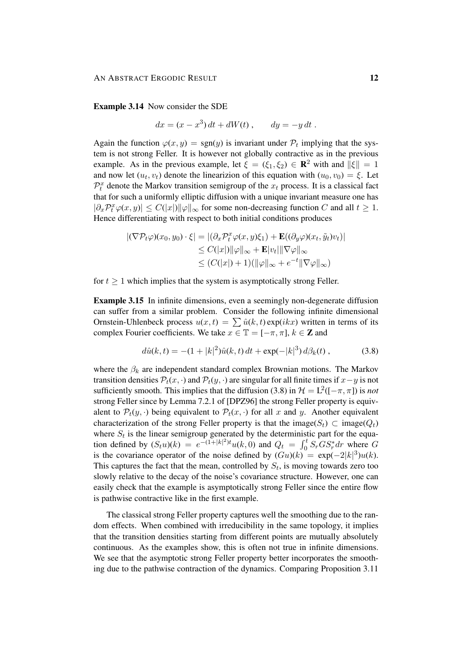Example 3.14 Now consider the SDE

$$
dx = (x - x3) dt + dW(t), \qquad dy = -y dt.
$$

Again the function  $\varphi(x, y) = \text{sgn}(y)$  is invariant under  $\mathcal{P}_t$  implying that the system is not strong Feller. It is however not globally contractive as in the previous example. As in the previous example, let  $\xi = (\xi_1, \xi_2) \in \mathbb{R}^2$  with and  $\|\xi\| = 1$ and now let  $(u_t, v_t)$  denote the linearizion of this equation with  $(u_0, v_0) = \xi$ . Let  $\mathcal{P}_t^x$  denote the Markov transition semigroup of the  $x_t$  process. It is a classical fact that for such a uniformly elliptic diffusion with a unique invariant measure one has  $|\partial_x \mathcal{P}_t^x \varphi(x, y)| \leq C(|x|) ||\varphi||_{\infty}$  for some non-decreasing function C and all  $t \geq 1$ . Hence differentiating with respect to both initial conditions produces

$$
|(\nabla \mathcal{P}_t \varphi)(x_0, y_0) \cdot \xi| = |(\partial_x \mathcal{P}_t^x \varphi(x, y)\xi_1) + \mathbf{E}((\partial_y \varphi)(x_t, \tilde{y}_t)v_t)|
$$
  
\n
$$
\leq C(|x|) \|\varphi\|_{\infty} + \mathbf{E}|v_t| \|\nabla \varphi\|_{\infty}
$$
  
\n
$$
\leq (C(|x|) + 1) (\|\varphi\|_{\infty} + e^{-t} \|\nabla \varphi\|_{\infty})
$$

for  $t \geq 1$  which implies that the system is asymptotically strong Feller.

Example 3.15 In infinite dimensions, even a seemingly non-degenerate diffusion can suffer from a similar problem. Consider the following infinite dimensional Ornstein-Uhlenbeck process  $u(x,t) = \sum \hat{u}(k,t) \exp(ikx)$  written in terms of its complex Fourier coefficients. We take  $x \in \mathbb{T} = [-\pi, \pi]$ ,  $k \in \mathbb{Z}$  and

$$
d\hat{u}(k,t) = -(1+|k|^2)\hat{u}(k,t) dt + \exp(-|k|^3) d\beta_k(t) , \qquad (3.8)
$$

where the  $\beta_k$  are independent standard complex Brownian motions. The Markov transition densities  $\mathcal{P}_t(x, \cdot)$  and  $\mathcal{P}_t(y, \cdot)$  are singular for all finite times if  $x-y$  is not sufficiently smooth. This implies that the diffusion (3.8) in  $\mathcal{H} = L^2([-\pi, \pi])$  is *not* strong Feller since by Lemma 7.2.1 of [DPZ96] the strong Feller property is equivalent to  $\mathcal{P}_t(y, \cdot)$  being equivalent to  $\mathcal{P}_t(x, \cdot)$  for all x and y. Another equivalent characterization of the strong Feller property is that the image( $S_t$ ) ⊂ image( $Q_t$ ) where  $S_t$  is the linear semigroup generated by the deterministic part for the equation defined by  $(S_t u)(k) = e^{-(1+|k|^2)t} u(k,0)$  and  $Q_t = \int_0^t S_r G S_r^* dr$  where G is the covariance operator of the noise defined by  $(Gu)(k) = \exp(-2|k|^3)u(k)$ . This captures the fact that the mean, controlled by  $S_t$ , is moving towards zero too slowly relative to the decay of the noise's covariance structure. However, one can easily check that the example is asymptotically strong Feller since the entire flow is pathwise contractive like in the first example.

The classical strong Feller property captures well the smoothing due to the random effects. When combined with irreducibility in the same topology, it implies that the transition densities starting from different points are mutually absolutely continuous. As the examples show, this is often not true in infinite dimensions. We see that the asymptotic strong Feller property better incorporates the smoothing due to the pathwise contraction of the dynamics. Comparing Proposition 3.11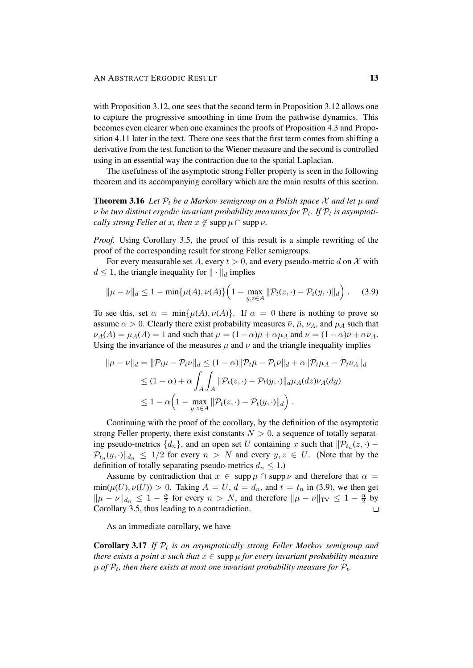with Proposition 3.12, one sees that the second term in Proposition 3.12 allows one to capture the progressive smoothing in time from the pathwise dynamics. This becomes even clearer when one examines the proofs of Proposition 4.3 and Proposition 4.11 later in the text. There one sees that the first term comes from shifting a derivative from the test function to the Wiener measure and the second is controlled using in an essential way the contraction due to the spatial Laplacian.

The usefulness of the asymptotic strong Feller property is seen in the following theorem and its accompanying corollary which are the main results of this section.

**Theorem 3.16** Let  $P_t$  be a Markov semigroup on a Polish space X and let u and  $\nu$  be two distinct ergodic invariant probability measures for  $\mathcal{P}_t$ . If  $\mathcal{P}_t$  is asymptoti*cally strong Feller at x, then*  $x \notin \text{supp } \mu \cap \text{supp } \nu$ .

*Proof.* Using Corollary 3.5, the proof of this result is a simple rewriting of the proof of the corresponding result for strong Feller semigroups.

For every measurable set A, every  $t > 0$ , and every pseudo-metric d on X with  $d \leq 1$ , the triangle inequality for  $|| \cdot ||_d$  implies

$$
\|\mu - \nu\|_d \le 1 - \min\{\mu(A), \nu(A)\} \Big(1 - \max_{y, z \in A} \|\mathcal{P}_t(z, \cdot) - \mathcal{P}_t(y, \cdot)\|_d\Big) . \tag{3.9}
$$

To see this, set  $\alpha = \min\{\mu(A), \nu(A)\}\$ . If  $\alpha = 0$  there is nothing to prove so assume  $\alpha > 0$ . Clearly there exist probability measures  $\bar{\nu}$ ,  $\bar{\mu}$ ,  $\nu_A$ , and  $\mu_A$  such that  $\nu_A(A) = \mu_A(A) = 1$  and such that  $\mu = (1 - \alpha)\overline{\mu} + \alpha\mu_A$  and  $\nu = (1 - \alpha)\overline{\nu} + \alpha\nu_A$ . Using the invariance of the measures  $\mu$  and  $\nu$  and the triangle inequality implies

$$
\|\mu - \nu\|_d = \|\mathcal{P}_t\mu - \mathcal{P}_t\nu\|_d \le (1 - \alpha) \|\mathcal{P}_t\bar{\mu} - \mathcal{P}_t\bar{\nu}\|_d + \alpha \|\mathcal{P}_t\mu_A - \mathcal{P}_t\nu_A\|_d
$$
  
\n
$$
\le (1 - \alpha) + \alpha \int_A \int_A \|\mathcal{P}_t(z, \cdot) - \mathcal{P}_t(y, \cdot)\|_d \mu_A(dz) \nu_A(dy)
$$
  
\n
$$
\le 1 - \alpha \Big(1 - \max_{y, z \in A} \|\mathcal{P}_t(z, \cdot) - \mathcal{P}_t(y, \cdot)\|_d\Big).
$$

Continuing with the proof of the corollary, by the definition of the asymptotic strong Feller property, there exist constants  $N > 0$ , a sequence of totally separating pseudo-metrics  $\{d_n\}$ , and an open set U containing x such that  $\|\mathcal{P}_{t_n}(z, \cdot) \mathcal{P}_{t_n}(y, \cdot) \|_{d_n} \leq 1/2$  for every  $n > N$  and every  $y, z \in U$ . (Note that by the definition of totally separating pseudo-metrics  $d_n \leq 1$ .)

Assume by contradiction that  $x \in \text{supp } \mu \cap \text{supp } \nu$  and therefore that  $\alpha =$  $min(\mu(U), \nu(U)) > 0$ . Taking  $A = U$ ,  $d = d_n$ , and  $t = t_n$  in (3.9), we then get  $\|\mu - \nu\|_{d_n} \leq 1 - \frac{\alpha}{2}$  $\frac{\alpha}{2}$  for every  $n > N$ , and therefore  $\|\mu - \nu\|_{TV} \leq 1 - \frac{\alpha}{2}$  $rac{\alpha}{2}$  by Corollary 3.5, thus leading to a contradiction.  $\Box$ 

As an immediate corollary, we have

**Corollary 3.17** If  $\mathcal{P}_t$  is an asymptotically strong Feller Markov semigroup and *there exists a point* x *such that*  $x \in \text{supp }\mu$  *for every invariant probability measure*  $\mu$  of  $\mathcal{P}_t$ , then there exists at most one invariant probability measure for  $\mathcal{P}_t$ .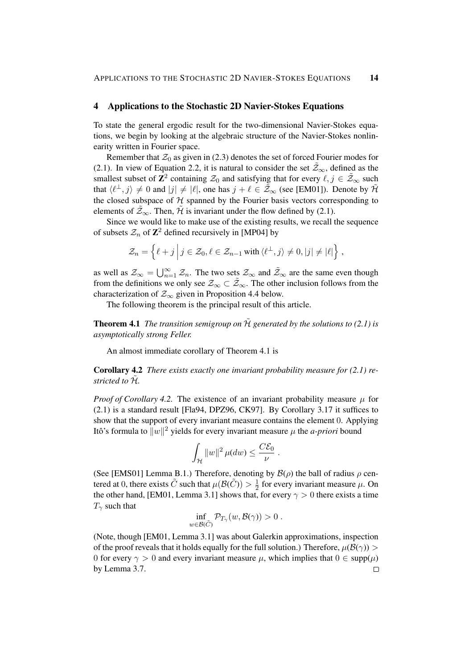## 4 Applications to the Stochastic 2D Navier-Stokes Equations

To state the general ergodic result for the two-dimensional Navier-Stokes equations, we begin by looking at the algebraic structure of the Navier-Stokes nonlinearity written in Fourier space.

Remember that  $\mathcal{Z}_0$  as given in (2.3) denotes the set of forced Fourier modes for (2.1). In view of Equation 2.2, it is natural to consider the set  $\mathcal{Z}_{\infty}$ , defined as the smallest subset of  $\mathbb{Z}^2$  containing  $\mathcal{Z}_0$  and satisfying that for every  $\ell, j \in \tilde{\mathcal{Z}}_{\infty}$  such that  $\langle \ell^{\perp}, j \rangle \neq 0$  and  $|j| \neq |\ell|$ , one has  $j + \ell \in \tilde{\mathcal{Z}}_{\infty}$  (see [EM01]). Denote by  $\tilde{\mathcal{H}}$ the closed subspace of  $H$  spanned by the Fourier basis vectors corresponding to elements of  $\mathcal{Z}_{\infty}$ . Then,  $\mathcal{H}$  is invariant under the flow defined by (2.1).

Since we would like to make use of the existing results, we recall the sequence of subsets  $\mathcal{Z}_n$  of  $\mathbb{Z}^2$  defined recursively in [MP04] by

$$
\mathcal{Z}_n = \left\{ \ell + j \, \Big| \, j \in \mathcal{Z}_0, \ell \in \mathcal{Z}_{n-1} \text{ with } \langle \ell^{\perp}, j \rangle \neq 0, |j| \neq |\ell| \right\},\
$$

as well as  $\mathcal{Z}_{\infty} = \bigcup_{n=1}^{\infty} \mathcal{Z}_n$ . The two sets  $\mathcal{Z}_{\infty}$  and  $\tilde{\mathcal{Z}}_{\infty}$  are the same even though from the definitions we only see  $\mathcal{Z}_{\infty} \subset \tilde{\mathcal{Z}}_{\infty}$ . The other inclusion follows from the characterization of  $\mathcal{Z}_{\infty}$  given in Proposition 4.4 below.

The following theorem is the principal result of this article.

**Theorem 4.1** *The transition semigroup on*  $\tilde{\mathcal{H}}$  *generated by the solutions to* (2.1) *is asymptotically strong Feller.*

An almost immediate corollary of Theorem 4.1 is

Corollary 4.2 *There exists exactly one invariant probability measure for (2.1) restricted to*  $H$ *.* 

*Proof of Corollary 4.2.* The existence of an invariant probability measure  $\mu$  for (2.1) is a standard result [Fla94, DPZ96, CK97]. By Corollary 3.17 it suffices to show that the support of every invariant measure contains the element 0. Applying Itô's formula to  $||w||^2$  yields for every invariant measure  $\mu$  the *a-priori* bound

$$
\int_{\mathcal{H}} \|w\|^2 \, \mu(dw) \leq \frac{C\mathcal{E}_0}{\nu}
$$

.

(See [EMS01] Lemma B.1.) Therefore, denoting by  $\mathcal{B}(\rho)$  the ball of radius  $\rho$  centered at 0, there exists  $\tilde{C}$  such that  $\mu(\mathcal{B}(\tilde{C})) > \frac{1}{2}$  $\frac{1}{2}$  for every invariant measure  $\mu$ . On the other hand, [EM01, Lemma 3.1] shows that, for every  $\gamma > 0$  there exists a time  $T_{\gamma}$  such that

$$
\inf_{w \in \mathcal{B}(\tilde{C})} \mathcal{P}_{T_{\gamma}}(w, \mathcal{B}(\gamma)) > 0.
$$

(Note, though [EM01, Lemma 3.1] was about Galerkin approximations, inspection of the proof reveals that it holds equally for the full solution.) Therefore,  $\mu(\mathcal{B}(\gamma))$ 0 for every  $\gamma > 0$  and every invariant measure  $\mu$ , which implies that  $0 \in \text{supp}(\mu)$ by Lemma 3.7. $\Box$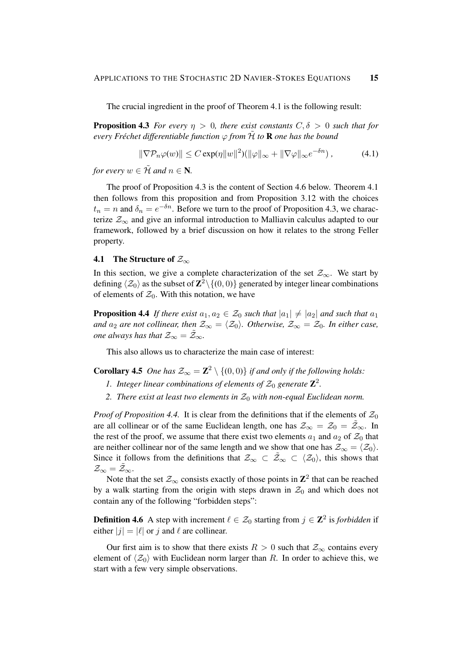The crucial ingredient in the proof of Theorem 4.1 is the following result:

**Proposition 4.3** *For every*  $\eta > 0$ *, there exist constants*  $C, \delta > 0$  *such that for every Fréchet differentiable function*  $\varphi$  *from*  $\tilde{\mathcal{H}}$  *to* **R** *one has the bound* 

$$
\|\nabla \mathcal{P}_n \varphi(w)\| \le C \exp(\eta \|w\|^2) (\|\varphi\|_{\infty} + \|\nabla \varphi\|_{\infty} e^{-\delta n}), \tag{4.1}
$$

*for every*  $w \in \tilde{\mathcal{H}}$  *and*  $n \in \mathbb{N}$ *.* 

The proof of Proposition 4.3 is the content of Section 4.6 below. Theorem 4.1 then follows from this proposition and from Proposition 3.12 with the choices  $t_n = n$  and  $\delta_n = e^{-\delta n}$ . Before we turn to the proof of Proposition 4.3, we characterize  $\mathcal{Z}_{\infty}$  and give an informal introduction to Malliavin calculus adapted to our framework, followed by a brief discussion on how it relates to the strong Feller property.

## 4.1 The Structure of  $\mathcal{Z}_{\infty}$

In this section, we give a complete characterization of the set  $\mathcal{Z}_{\infty}$ . We start by defining  $\langle \mathcal{Z}_0 \rangle$  as the subset of  $\mathbf{Z}^2\backslash \{(0,0)\}$  generated by integer linear combinations of elements of  $\mathcal{Z}_0$ . With this notation, we have

**Proposition 4.4** If there exist  $a_1, a_2 \in \mathcal{Z}_0$  such that  $|a_1| \neq |a_2|$  and such that  $a_1$ *and*  $a_2$  *are not collinear, then*  $\mathcal{Z}_{\infty} = \langle \mathcal{Z}_0 \rangle$ *. Otherwise,*  $\mathcal{Z}_{\infty} = \mathcal{Z}_0$ *. In either case, one always has that*  $\mathcal{Z}_{\infty} = \tilde{\mathcal{Z}}_{\infty}$ *.* 

This also allows us to characterize the main case of interest:

**Corollary 4.5** *One has*  $\mathcal{Z}_{\infty} = \mathbb{Z}^2 \setminus \{(0,0)\}$  *if and only if the following holds:* 

- 1. Integer linear combinations of elements of  $\mathcal{Z}_0$  generate  $\mathbb{Z}^2$ .
- 2. *There exist at least two elements in*  $\mathcal{Z}_0$  *with non-equal Euclidean norm.*

*Proof of Proposition 4.4.* It is clear from the definitions that if the elements of  $\mathcal{Z}_0$ are all collinear or of the same Euclidean length, one has  $\mathcal{Z}_{\infty} = \mathcal{Z}_0 = \tilde{\mathcal{Z}}_{\infty}$ . In the rest of the proof, we assume that there exist two elements  $a_1$  and  $a_2$  of  $\mathcal{Z}_0$  that are neither collinear nor of the same length and we show that one has  $\mathcal{Z}_{\infty} = \langle \mathcal{Z}_0 \rangle$ . Since it follows from the definitions that  $\mathcal{Z}_{\infty} \subset \tilde{\mathcal{Z}}_{\infty} \subset \langle \mathcal{Z}_0 \rangle$ , this shows that  $\mathcal{Z}_{\infty}=\tilde{\mathcal{Z}}_{\infty}.$ 

Note that the set  $\mathcal{Z}_{\infty}$  consists exactly of those points in  $\mathbb{Z}^2$  that can be reached by a walk starting from the origin with steps drawn in  $\mathcal{Z}_0$  and which does not contain any of the following "forbidden steps":

**Definition 4.6** A step with increment  $\ell \in \mathcal{Z}_0$  starting from  $j \in \mathbb{Z}^2$  is *forbidden* if either  $|j| = |\ell|$  or j and  $\ell$  are collinear.

Our first aim is to show that there exists  $R > 0$  such that  $\mathcal{Z}_{\infty}$  contains every element of  $\langle Z_0 \rangle$  with Euclidean norm larger than R. In order to achieve this, we start with a few very simple observations.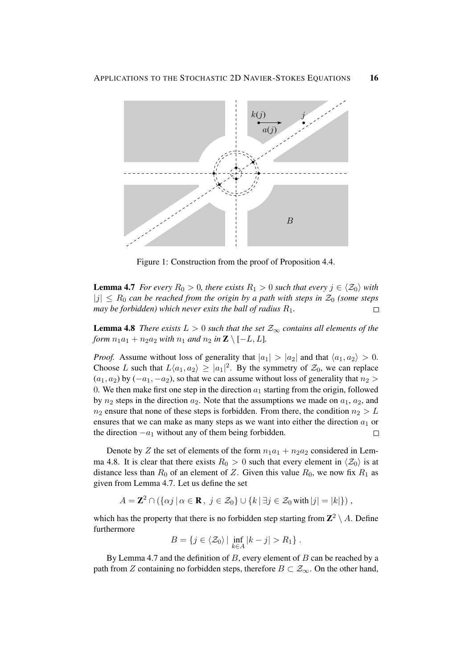

Figure 1: Construction from the proof of Proposition 4.4.

**Lemma 4.7** *For every*  $R_0 > 0$ *, there exists*  $R_1 > 0$  *such that every*  $j \in \langle Z_0 \rangle$  *with*  $|j| \leq R_0$  *can be reached from the origin by a path with steps in*  $\mathcal{Z}_0$  *(some steps may be forbidden) which never exits the ball of radius* R1*.*  $\Box$ 

**Lemma 4.8** *There exists*  $L > 0$  *such that the set*  $\mathcal{Z}_{\infty}$  *contains all elements of the form*  $n_1a_1 + n_2a_2$  *with*  $n_1$  *and*  $n_2$  *in*  $\mathbb{Z} \setminus [-L, L]$ *.* 

*Proof.* Assume without loss of generality that  $|a_1| > |a_2|$  and that  $\langle a_1, a_2 \rangle > 0$ . Choose L such that  $L\langle a_1, a_2 \rangle \geq |a_1|^2$ . By the symmetry of  $\mathcal{Z}_0$ , we can replace  $(a_1, a_2)$  by  $(-a_1, -a_2)$ , so that we can assume without loss of generality that  $n_2 >$ 0. We then make first one step in the direction  $a_1$  starting from the origin, followed by  $n_2$  steps in the direction  $a_2$ . Note that the assumptions we made on  $a_1, a_2$ , and  $n_2$  ensure that none of these steps is forbidden. From there, the condition  $n_2 > L$ ensures that we can make as many steps as we want into either the direction  $a_1$  or the direction  $-a_1$  without any of them being forbidden.  $\Box$ 

Denote by Z the set of elements of the form  $n_1a_1 + n_2a_2$  considered in Lemma 4.8. It is clear that there exists  $R_0 > 0$  such that every element in  $\langle Z_0 \rangle$  is at distance less than  $R_0$  of an element of Z. Given this value  $R_0$ , we now fix  $R_1$  as given from Lemma 4.7. Let us define the set

$$
A = \mathbf{Z}^2 \cap (\{\alpha j \mid \alpha \in \mathbf{R}, j \in \mathcal{Z}_0\} \cup \{k \mid \exists j \in \mathcal{Z}_0 \text{ with } |j| = |k|\})\,,
$$

which has the property that there is no forbidden step starting from  $\mathbb{Z}^2 \setminus A$ . Define furthermore

$$
B = \{j \in \langle \mathcal{Z}_0 \rangle \mid \inf_{k \in A} |k - j| > R_1 \}.
$$

By Lemma 4.7 and the definition of  $B$ , every element of  $B$  can be reached by a path from Z containing no forbidden steps, therefore  $B \subset \mathcal{Z}_{\infty}$ . On the other hand,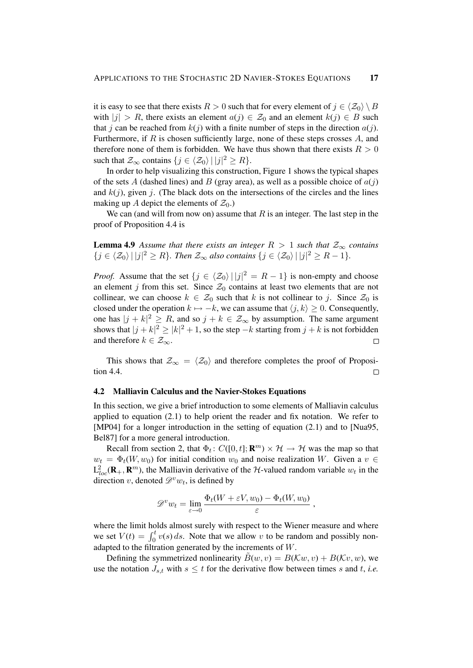it is easy to see that there exists  $R > 0$  such that for every element of  $j \in \langle Z_0 \rangle \setminus B$ with  $|j| > R$ , there exists an element  $a(j) \in \mathcal{Z}_0$  and an element  $k(j) \in B$  such that j can be reached from  $k(j)$  with a finite number of steps in the direction  $a(j)$ . Furthermore, if  $R$  is chosen sufficiently large, none of these steps crosses  $A$ , and therefore none of them is forbidden. We have thus shown that there exists  $R > 0$ such that  $\mathcal{Z}_{\infty}$  contains  $\{j \in \langle \mathcal{Z}_0 \rangle | |j|^2 \geq R\}.$ 

In order to help visualizing this construction, Figure 1 shows the typical shapes of the sets A (dashed lines) and B (gray area), as well as a possible choice of  $a(j)$ and  $k(j)$ , given j. (The black dots on the intersections of the circles and the lines making up A depict the elements of  $\mathcal{Z}_0$ .)

We can (and will from now on) assume that  $R$  is an integer. The last step in the proof of Proposition 4.4 is

**Lemma 4.9** Assume that there exists an integer  $R > 1$  such that  $\mathcal{Z}_{\infty}$  contains  $\{j \in \langle Z_0 \rangle | |j|^2 \ge R\}$ *. Then*  $\mathcal{Z}_{\infty}$  also contains  $\{j \in \langle Z_0 \rangle | |j|^2 \ge R - 1\}$ *.* 

*Proof.* Assume that the set  $\{j \in \langle Z_0 \rangle | |j|^2 = R - 1\}$  is non-empty and choose an element j from this set. Since  $\mathcal{Z}_0$  contains at least two elements that are not collinear, we can choose  $k \in \mathcal{Z}_0$  such that k is not collinear to j. Since  $\mathcal{Z}_0$  is closed under the operation  $k \mapsto -k$ , we can assume that  $\langle j, k \rangle \geq 0$ . Consequently, one has  $|j + k|^2 \ge R$ , and so  $j + k \in \mathcal{Z}_{\infty}$  by assumption. The same argument shows that  $|j + k|^2 \ge |k|^2 + 1$ , so the step  $-k$  starting from  $j + k$  is not forbidden and therefore  $k \in \mathcal{Z}_{\infty}$ .  $\Box$ 

This shows that  $\mathcal{Z}_{\infty} = \langle \mathcal{Z}_0 \rangle$  and therefore completes the proof of Proposition 4.4.  $\Box$ 

#### 4.2 Malliavin Calculus and the Navier-Stokes Equations

In this section, we give a brief introduction to some elements of Malliavin calculus applied to equation (2.1) to help orient the reader and fix notation. We refer to [MP04] for a longer introduction in the setting of equation (2.1) and to [Nua95, Bel87] for a more general introduction.

Recall from section 2, that  $\Phi_t$ :  $C([0, t]; \mathbb{R}^m) \times \mathcal{H} \to \mathcal{H}$  was the map so that  $w_t = \Phi_t(W, w_0)$  for initial condition  $w_0$  and noise realization W. Given a  $v \in$  $L^2_{loc}(\mathbf{R}_+,\mathbf{R}^m)$ , the Malliavin derivative of the H-valued random variable  $w_t$  in the direction v, denoted  $\mathscr{D}^v w_t$ , is defined by

$$
\mathscr{D}^v w_t = \lim_{\varepsilon \to 0} \frac{\Phi_t(W + \varepsilon V, w_0) - \Phi_t(W, w_0)}{\varepsilon},
$$

where the limit holds almost surely with respect to the Wiener measure and where we set  $V(t) = \int_0^t v(s) ds$ . Note that we allow v to be random and possibly nonadapted to the filtration generated by the increments of W.

Defining the symmetrized nonlinearity  $B(w, v) = B(\mathcal{K}w, v) + B(\mathcal{K}v, w)$ , we use the notation  $J_{s,t}$  with  $s \leq t$  for the derivative flow between times s and t, *i.e.*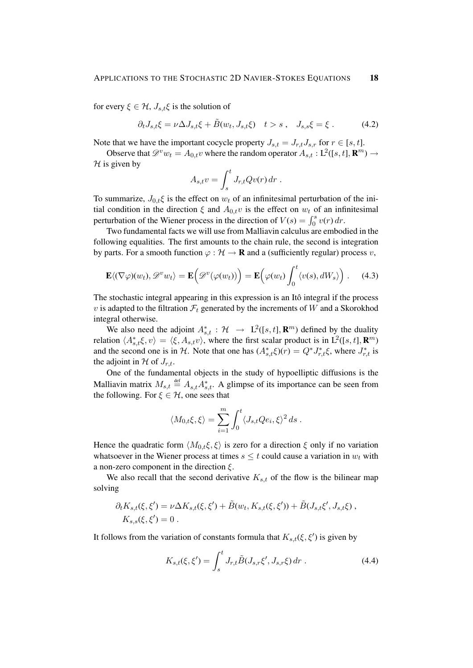for every  $\xi \in \mathcal{H}$ ,  $J_{s,t}\xi$  is the solution of

$$
\partial_t J_{s,t} \xi = \nu \Delta J_{s,t} \xi + \tilde{B}(w_t, J_{s,t} \xi) \quad t > s \,, \quad J_{s,s} \xi = \xi \,. \tag{4.2}
$$

Note that we have the important cocycle property  $J_{s,t} = J_{r,t} J_{s,r}$  for  $r \in [s, t]$ .

Observe that  $\mathscr{D}^v w_t = A_{0,t} v$  where the random operator  $A_{s,t} : L^2([s,t], \mathbf{R}^m) \to$  $H$  is given by

$$
A_{s,t}v = \int_s^t J_{r,t}Qv(r) dr.
$$

To summarize,  $J_{0,t}\xi$  is the effect on  $w_t$  of an infinitesimal perturbation of the initial condition in the direction  $\xi$  and  $A_{0,t}v$  is the effect on  $w_t$  of an infinitesimal perturbation of the Wiener process in the direction of  $V(s) = \int_0^s v(r) dr$ .

Two fundamental facts we will use from Malliavin calculus are embodied in the following equalities. The first amounts to the chain rule, the second is integration by parts. For a smooth function  $\varphi : \mathcal{H} \to \mathbf{R}$  and a (sufficiently regular) process v,

$$
\mathbf{E}\langle (\nabla \varphi)(w_t), \mathscr{D}^v w_t \rangle = \mathbf{E}\Big(\mathscr{D}^v(\varphi(w_t))\Big) = \mathbf{E}\Big(\varphi(w_t)\int_0^t \langle v(s), dW_s \rangle\Big) . \tag{4.3}
$$

The stochastic integral appearing in this expression is an Itô integral if the process v is adapted to the filtration  $\mathcal{F}_t$  generated by the increments of W and a Skorokhod integral otherwise.

We also need the adjoint  $A_{s,t}^*$ :  $\mathcal{H} \rightarrow L^2([s,t], \mathbb{R}^m)$  defined by the duality relation  $\langle A_{s,t}^* \xi, v \rangle = \langle \xi, A_{s,t} v \rangle$ , where the first scalar product is in  $L^2([s,t], \mathbf{R}^m)$ and the second one is in H. Note that one has  $(A_{s,t}^*(\xi)(r)) = Q^* J_{r,t}^* \xi$ , where  $J_{r,t}^*$  is the adjoint in H of  $J_{r,t}$ .

One of the fundamental objects in the study of hypoelliptic diffusions is the Malliavin matrix  $M_{s,t} \stackrel{\text{def}}{=} A_{s,t} A_{s,t}^*$ . A glimpse of its importance can be seen from the following. For  $\xi \in \mathcal{H}$ , one sees that

$$
\langle M_{0,t}\xi,\xi\rangle = \sum_{i=1}^m \int_0^t \langle J_{s,t}Qe_i,\xi\rangle^2 ds.
$$

Hence the quadratic form  $\langle M_{0,t} \xi, \xi \rangle$  is zero for a direction  $\xi$  only if no variation whatsoever in the Wiener process at times  $s \leq t$  could cause a variation in  $w_t$  with a non-zero component in the direction  $\xi$ .

We also recall that the second derivative  $K_{s,t}$  of the flow is the bilinear map solving

$$
\partial_t K_{s,t}(\xi, \xi') = \nu \Delta K_{s,t}(\xi, \xi') + \tilde{B}(w_t, K_{s,t}(\xi, \xi')) + \tilde{B}(J_{s,t}\xi', J_{s,t}\xi) ,
$$
  

$$
K_{s,s}(\xi, \xi') = 0 .
$$

It follows from the variation of constants formula that  $K_{s,t}(\xi, \xi')$  is given by

$$
K_{s,t}(\xi,\xi') = \int_s^t J_{r,t} \tilde{B}(J_{s,r}\xi',J_{s,r}\xi) dr . \qquad (4.4)
$$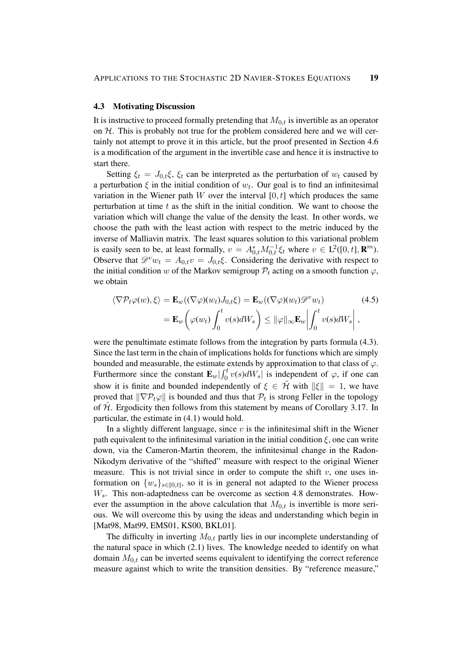#### 4.3 Motivating Discussion

It is instructive to proceed formally pretending that  $M_{0,t}$  is invertible as an operator on  $H$ . This is probably not true for the problem considered here and we will certainly not attempt to prove it in this article, but the proof presented in Section 4.6 is a modification of the argument in the invertible case and hence it is instructive to start there.

Setting  $\xi_t = J_{0,t} \xi$ ,  $\xi_t$  can be interpreted as the perturbation of  $w_t$  caused by a perturbation  $\xi$  in the initial condition of  $w_t$ . Our goal is to find an infinitesimal variation in the Wiener path  $W$  over the interval  $[0, t]$  which produces the same perturbation at time  $t$  as the shift in the initial condition. We want to choose the variation which will change the value of the density the least. In other words, we choose the path with the least action with respect to the metric induced by the inverse of Malliavin matrix. The least squares solution to this variational problem is easily seen to be, at least formally,  $v = A_{0,t}^* M_{0,t}^{-1} \xi_t$  where  $v \in L^2([0,t], \mathbf{R}^m)$ . Observe that  $\mathscr{D}^v w_t = A_{0,t} v = J_{0,t} \xi$ . Considering the derivative with respect to the initial condition w of the Markov semigroup  $P_t$  acting on a smooth function  $\varphi$ , we obtain

$$
\langle \nabla \mathcal{P}_t \varphi(w), \xi \rangle = \mathbf{E}_w((\nabla \varphi)(w_t) J_{0,t} \xi) = \mathbf{E}_w((\nabla \varphi)(w_t) \mathcal{D}^v w_t)
$$
(4.5)  

$$
= \mathbf{E}_w \left( \varphi(w_t) \int_0^t v(s) dW_s \right) \le ||\varphi||_{\infty} \mathbf{E}_w \left| \int_0^t v(s) dW_s \right|,
$$

were the penultimate estimate follows from the integration by parts formula (4.3). Since the last term in the chain of implications holds for functions which are simply bounded and measurable, the estimate extends by approximation to that class of  $\varphi$ . Furthermore since the constant  $\mathbf{E}_w | \int_0^t v(s) dW_s$  is independent of  $\varphi$ , if one can show it is finite and bounded independently of  $\xi \in \tilde{\mathcal{H}}$  with  $\|\xi\| = 1$ , we have proved that  $\|\nabla \mathcal{P}_t \varphi\|$  is bounded and thus that  $\mathcal{P}_t$  is strong Feller in the topology of  $H$ . Ergodicity then follows from this statement by means of Corollary 3.17. In particular, the estimate in (4.1) would hold.

In a slightly different language, since  $v$  is the infinitesimal shift in the Wiener path equivalent to the infinitesimal variation in the initial condition  $\xi$ , one can write down, via the Cameron-Martin theorem, the infinitesimal change in the Radon-Nikodym derivative of the "shifted" measure with respect to the original Wiener measure. This is not trivial since in order to compute the shift  $v$ , one uses information on  $\{w_s\}_{s \in [0,t]}$ , so it is in general not adapted to the Wiener process  $W_s$ . This non-adaptedness can be overcome as section 4.8 demonstrates. However the assumption in the above calculation that  $M_{0,t}$  is invertible is more serious. We will overcome this by using the ideas and understanding which begin in [Mat98, Mat99, EMS01, KS00, BKL01].

The difficulty in inverting  $M_{0,t}$  partly lies in our incomplete understanding of the natural space in which (2.1) lives. The knowledge needed to identify on what domain  $M_{0,t}$  can be inverted seems equivalent to identifying the correct reference measure against which to write the transition densities. By "reference measure,"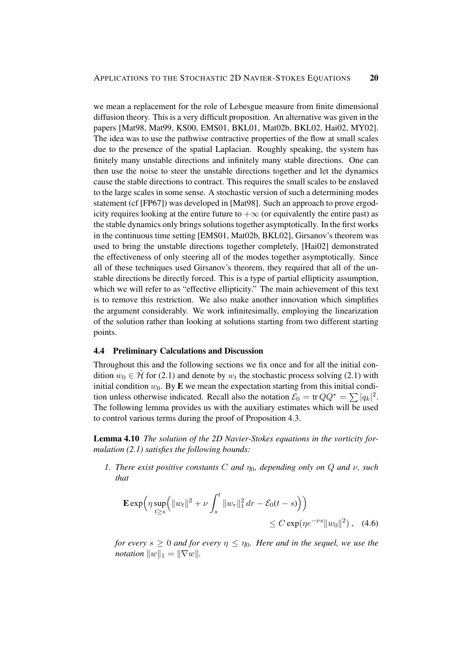we mean a replacement for the role of Lebesgue measure from finite dimensional diffusion theory. This is a very difficult proposition. An alternative was given in the papers [Mat98, Mat99, KS00, EMS01, BKL01, Mat02b, BKL02, Hai02, MY02]. The idea was to use the pathwise contractive properties of the flow at small scales due to the presence of the spatial Laplacian. Roughly speaking, the system has finitely many unstable directions and infinitely many stable directions. One can then use the noise to steer the unstable directions together and let the dynamics cause the stable directions to contract. This requires the small scales to be enslaved to the large scales in some sense. A stochastic version of such a determining modes statement (cf [FP67]) was developed in [Mat98]. Such an approach to prove ergodicity requires looking at the entire future to  $+\infty$  (or equivalently the entire past) as the stable dynamics only brings solutions together asymptotically. In the first works in the continuous time setting [EMS01, Mat02b, BKL02], Girsanov's theorem was used to bring the unstable directions together completely, [Hai02] demonstrated the effectiveness of only steering all of the modes together asymptotically. Since all of these techniques used Girsanov's theorem, they required that all of the unstable directions be directly forced. This is a type of partial ellipticity assumption, which we will refer to as "effective ellipticity." The main achievement of this text is to remove this restriction. We also make another innovation which simplifies the argument considerably. We work infinitesimally, employing the linearization of the solution rather than looking at solutions starting from two different starting points.

## 4.4 Preliminary Calculations and Discussion

Throughout this and the following sections we fix once and for all the initial condition  $w_0 \in \tilde{\mathcal{H}}$  for (2.1) and denote by  $w_t$  the stochastic process solving (2.1) with initial condition  $w_0$ . By E we mean the expectation starting from this initial condition unless otherwise indicated. Recall also the notation  $\mathcal{E}_0 = \text{tr} \, Q Q^* = \sum |q_k|^2$ . The following lemma provides us with the auxiliary estimates which will be used to control various terms during the proof of Proposition 4.3.

Lemma 4.10 *The solution of the 2D Navier-Stokes equations in the vorticity formulation (2.1) satisfies the following bounds:*

*1. There exist positive constants* C *and* η0*, depending only on* Q *and* ν*, such that*

$$
\mathbf{E} \exp \left( \eta \sup_{t \ge s} \left( \|w_t\|^2 + \nu \int_s^t \|w_r\|_1^2 dr - \mathcal{E}_0(t - s) \right) \right) \le C \exp(\eta e^{-\nu s} \|w_0\|^2), \quad (4.6)
$$

*for every*  $s \geq 0$  *and for every*  $\eta \leq \eta_0$ *. Here and in the sequel, we use the notation*  $||w||_1 = ||\nabla w||$ .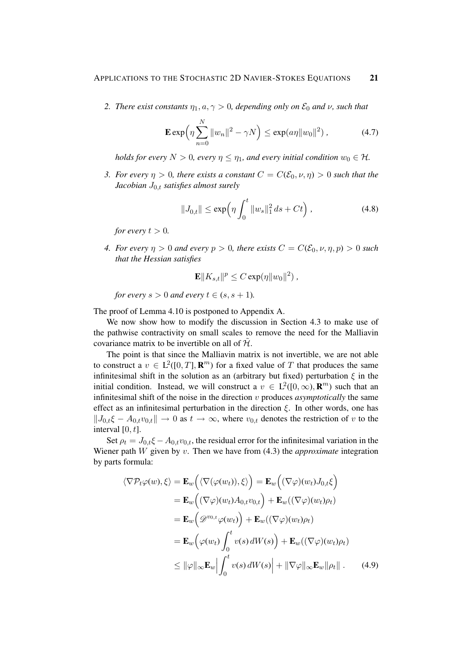*2. There exist constants*  $\eta_1, a, \gamma > 0$ , depending only on  $\mathcal{E}_0$  and  $\nu$ , such that

$$
\mathbf{E} \exp\left(\eta \sum_{n=0}^{N} ||w_n||^2 - \gamma N\right) \le \exp(a\eta ||w_0||^2) , \qquad (4.7)
$$

*holds for every*  $N > 0$ , every  $\eta \leq \eta_1$ , and every initial condition  $w_0 \in \mathcal{H}$ .

*3. For every*  $\eta > 0$ , there exists a constant  $C = C(\mathcal{E}_0, \nu, \eta) > 0$  such that the *Jacobian* J0,t *satisfies almost surely*

$$
||J_{0,t}|| \le \exp\left(\eta \int_0^t ||w_s||_1^2 ds + Ct\right), \tag{4.8}
$$

*for every*  $t > 0$ *.* 

*4. For every*  $\eta > 0$  *and every*  $p > 0$ *, there exists*  $C = C(\mathcal{E}_0, \nu, \eta, p) > 0$  *such that the Hessian satisfies*

$$
\mathbf{E}||K_{s,t}||^p \leq C \exp(\eta ||w_0||^2),
$$

*for every*  $s > 0$  *and every*  $t \in (s, s + 1)$ *.* 

The proof of Lemma 4.10 is postponed to Appendix A.

We now show how to modify the discussion in Section 4.3 to make use of the pathwise contractivity on small scales to remove the need for the Malliavin covariance matrix to be invertible on all of  $\mathcal{H}$ .

The point is that since the Malliavin matrix is not invertible, we are not able to construct a  $v \in L^2([0,T], \mathbf{R}^m)$  for a fixed value of T that produces the same infinitesimal shift in the solution as an (arbitrary but fixed) perturbation  $\xi$  in the initial condition. Instead, we will construct a  $v \in L^2([0,\infty), \mathbb{R}^m)$  such that an infinitesimal shift of the noise in the direction v produces *asymptotically* the same effect as an infinitesimal perturbation in the direction  $\xi$ . In other words, one has  $||J_{0,t}\xi - A_{0,t}v_{0,t}|| \rightarrow 0$  as  $t \rightarrow \infty$ , where  $v_{0,t}$  denotes the restriction of v to the interval  $[0, t]$ .

Set  $\rho_t = J_{0,t} \xi - A_{0,t} v_{0,t}$ , the residual error for the infinitesimal variation in the Wiener path W given by v. Then we have from (4.3) the *approximate* integration by parts formula:

$$
\langle \nabla \mathcal{P}_t \varphi(w), \xi \rangle = \mathbf{E}_w \Big( \langle \nabla (\varphi(w_t)), \xi \rangle \Big) = \mathbf{E}_w \Big( (\nabla \varphi)(w_t) J_{0,t} \xi \Big)
$$
  
\n
$$
= \mathbf{E}_w \Big( (\nabla \varphi)(w_t) A_{0,t} v_{0,t} \Big) + \mathbf{E}_w ((\nabla \varphi)(w_t) \rho_t)
$$
  
\n
$$
= \mathbf{E}_w \Big( \mathscr{D}^{v_{0,t}} \varphi(w_t) \Big) + \mathbf{E}_w ((\nabla \varphi)(w_t) \rho_t)
$$
  
\n
$$
= \mathbf{E}_w \Big( \varphi(w_t) \int_0^t v(s) dW(s) \Big) + \mathbf{E}_w ((\nabla \varphi)(w_t) \rho_t)
$$
  
\n
$$
\leq ||\varphi||_{\infty} \mathbf{E}_w \Big| \int_0^t v(s) dW(s) \Big| + ||\nabla \varphi||_{\infty} \mathbf{E}_w || \rho_t ||. \qquad (4.9)
$$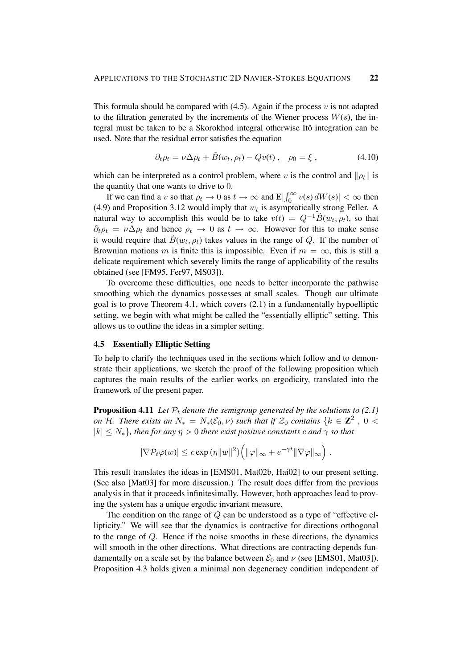This formula should be compared with  $(4.5)$ . Again if the process v is not adapted to the filtration generated by the increments of the Wiener process  $W(s)$ , the integral must be taken to be a Skorokhod integral otherwise Itô integration can be used. Note that the residual error satisfies the equation

$$
\partial_t \rho_t = \nu \Delta \rho_t + \tilde{B}(w_t, \rho_t) - Qv(t) , \quad \rho_0 = \xi , \qquad (4.10)
$$

which can be interpreted as a control problem, where v is the control and  $\|\rho_t\|$  is the quantity that one wants to drive to 0.

If we can find a v so that  $\rho_t \to 0$  as  $t \to \infty$  and  $\mathbf{E} \left| \int_0^\infty v(s) dW(s) \right| < \infty$  then (4.9) and Proposition 3.12 would imply that  $w_t$  is asymptotically strong Feller. A natural way to accomplish this would be to take  $v(t) = Q^{-1} \tilde{B}(w_t, \rho_t)$ , so that  $\partial_t \rho_t = \nu \Delta \rho_t$  and hence  $\rho_t \to 0$  as  $t \to \infty$ . However for this to make sense it would require that  $\tilde{B}(w_t, \rho_t)$  takes values in the range of Q. If the number of Brownian motions m is finite this is impossible. Even if  $m = \infty$ , this is still a delicate requirement which severely limits the range of applicability of the results obtained (see [FM95, Fer97, MS03]).

To overcome these difficulties, one needs to better incorporate the pathwise smoothing which the dynamics possesses at small scales. Though our ultimate goal is to prove Theorem 4.1, which covers (2.1) in a fundamentally hypoelliptic setting, we begin with what might be called the "essentially elliptic" setting. This allows us to outline the ideas in a simpler setting.

## 4.5 Essentially Elliptic Setting

To help to clarify the techniques used in the sections which follow and to demonstrate their applications, we sketch the proof of the following proposition which captures the main results of the earlier works on ergodicity, translated into the framework of the present paper.

**Proposition 4.11** Let  $\mathcal{P}_t$  denote the semigroup generated by the solutions to (2.1) *on* H. There exists an  $N_* = N_*(\mathcal{E}_0, \nu)$  such that if  $\mathcal{Z}_0$  contains  $\{k \in \mathbb{Z}^2, 0 \leq k \leq k \}$  $|k| \leq N_*$ *}, then for any*  $\eta > 0$  *there exist positive constants c and*  $\gamma$  *so that* 

$$
|\nabla P_t \varphi(w)| \leq c \exp(\eta \|w\|^2) \Big( \|\varphi\|_{\infty} + e^{-\gamma t} \|\nabla \varphi\|_{\infty} \Big) .
$$

This result translates the ideas in [EMS01, Mat02b, Hai02] to our present setting. (See also [Mat03] for more discussion.) The result does differ from the previous analysis in that it proceeds infinitesimally. However, both approaches lead to proving the system has a unique ergodic invariant measure.

The condition on the range of  $Q$  can be understood as a type of "effective ellipticity." We will see that the dynamics is contractive for directions orthogonal to the range of  $Q$ . Hence if the noise smooths in these directions, the dynamics will smooth in the other directions. What directions are contracting depends fundamentally on a scale set by the balance between  $\mathcal{E}_0$  and  $\nu$  (see [EMS01, Mat03]). Proposition 4.3 holds given a minimal non degeneracy condition independent of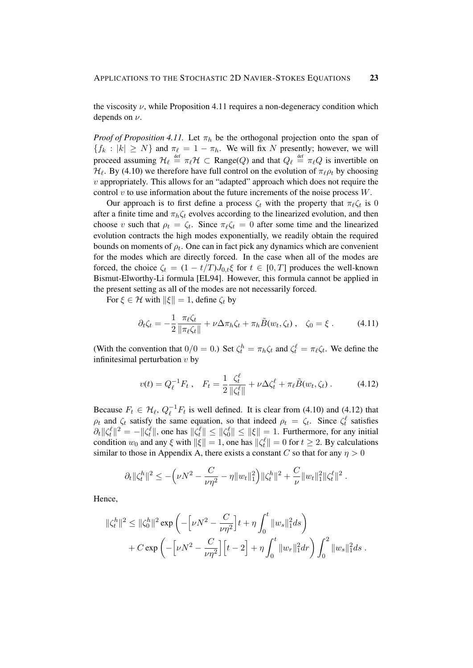the viscosity  $\nu$ , while Proposition 4.11 requires a non-degeneracy condition which depends on  $\nu$ .

*Proof of Proposition 4.11.* Let  $\pi_h$  be the orthogonal projection onto the span of  ${f_k : |k| \ge N}$  and  $\pi_\ell = 1 - \pi_h$ . We will fix N presently; however, we will proceed assuming  $\mathcal{H}_\ell \stackrel{\text{def}}{=} \pi_\ell \mathcal{H} \subset \text{Range}(Q)$  and that  $Q_\ell \stackrel{\text{def}}{=} \pi_\ell Q$  is invertible on  $\mathcal{H}_{\ell}$ . By (4.10) we therefore have full control on the evolution of  $\pi_{\ell} \rho_t$  by choosing  $v$  appropriately. This allows for an "adapted" approach which does not require the control  $v$  to use information about the future increments of the noise process  $W$ .

Our approach is to first define a process  $\zeta_t$  with the property that  $\pi_\ell \zeta_t$  is 0 after a finite time and  $\pi_h \zeta_t$  evolves according to the linearized evolution, and then choose v such that  $\rho_t = \zeta_t$ . Since  $\pi_\ell \zeta_t = 0$  after some time and the linearized evolution contracts the high modes exponentially, we readily obtain the required bounds on moments of  $\rho_t$ . One can in fact pick any dynamics which are convenient for the modes which are directly forced. In the case when all of the modes are forced, the choice  $\zeta_t = (1 - t/T)J_{0,t}\zeta$  for  $t \in [0,T]$  produces the well-known Bismut-Elworthy-Li formula [EL94]. However, this formula cannot be applied in the present setting as all of the modes are not necessarily forced.

For  $\xi \in \mathcal{H}$  with  $\|\xi\| = 1$ , define  $\zeta_t$  by

$$
\partial_t \zeta_t = -\frac{1}{2} \frac{\pi_\ell \zeta_t}{\|\pi_\ell \zeta_t\|} + \nu \Delta \pi_h \zeta_t + \pi_h \tilde{B}(w_t, \zeta_t) \,, \quad \zeta_0 = \xi \,. \tag{4.11}
$$

(With the convention that  $0/0 = 0$ .) Set  $\zeta_t^h = \pi_h \zeta_t$  and  $\zeta_t^\ell = \pi_\ell \zeta_t$ . We define the infinitesimal perturbation  $v$  by

$$
v(t) = Q_{\ell}^{-1} F_t , \quad F_t = \frac{1}{2} \frac{\zeta_{t}^{\ell}}{\|\zeta_{t}^{\ell}\|} + \nu \Delta \zeta_{t}^{\ell} + \pi_{\ell} \tilde{B}(w_t, \zeta_t) . \tag{4.12}
$$

Because  $F_t \in \mathcal{H}_{\ell}, Q_{\ell}^{-1}$  $\ell^{-1}F_t$  is well defined. It is clear from (4.10) and (4.12) that  $\rho_t$  and  $\zeta_t$  satisfy the same equation, so that indeed  $\rho_t = \zeta_t$ . Since  $\zeta_t^{\ell}$  satisfies  $\partial_t ||\zeta_t^{\ell}||^2 = -||\zeta_t^{\ell}||$ , one has  $||\zeta_t^{\ell}|| \le ||\zeta_0^{\ell}|| \le ||\xi|| = 1$ . Furthermore, for any initial condition  $w_0$  and any  $\xi$  with  $\|\xi\| = 1$ , one has  $\|\zeta_t^{\ell}\| = 0$  for  $t \ge 2$ . By calculations similar to those in Appendix A, there exists a constant C so that for any  $\eta > 0$ 

$$
\partial_t \|\zeta_t^h\|^2 \le -\Big(\nu N^2 - \frac{C}{\nu\eta^2} - \eta \|w_t\|_1^2\Big) \|\zeta_t^h\|^2 + \frac{C}{\nu} \|w_t\|_1^2 \|\zeta_t^\ell\|^2.
$$

Hence,

$$
\begin{aligned} \|\zeta_t^h\|^2 &\leq \|\zeta_0^h\|^2 \exp\left(-\left[\nu N^2 - \frac{C}{\nu\eta^2}\right]t + \eta \int_0^t \|w_s\|_1^2 ds\right) \\ &+ C \exp\left(-\left[\nu N^2 - \frac{C}{\nu\eta^2}\right]\left[t - 2\right] + \eta \int_0^t \|w_r\|_1^2 dr\right) \int_0^2 \|w_s\|_1^2 ds \; . \end{aligned}
$$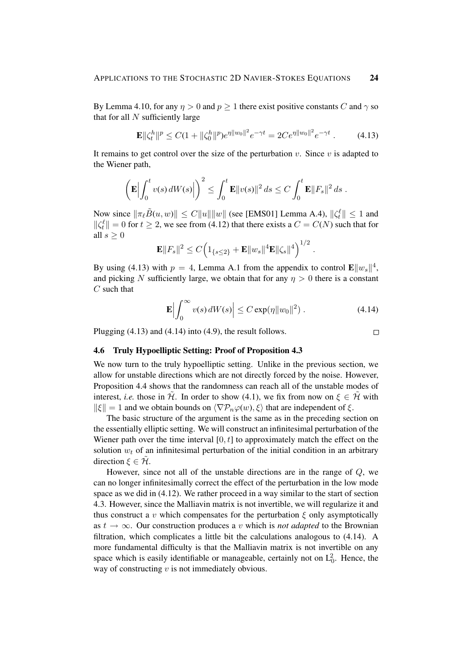By Lemma 4.10, for any  $\eta > 0$  and  $p \ge 1$  there exist positive constants C and  $\gamma$  so that for all  $N$  sufficiently large

$$
\mathbf{E} \|\zeta_t^h\|^p \le C(1 + \|\zeta_0^h\|^p) e^{\eta \|w_0\|^2} e^{-\gamma t} = 2C e^{\eta \|w_0\|^2} e^{-\gamma t} . \tag{4.13}
$$

It remains to get control over the size of the perturbation  $v$ . Since  $v$  is adapted to the Wiener path,

$$
\left(\mathbf{E}\Big|\int_0^t v(s)\,dW(s)\Big|\right)^2 \leq \int_0^t \mathbf{E}\|v(s)\|^2\,ds \leq C\int_0^t \mathbf{E}\|F_s\|^2\,ds.
$$

Now since  $\|\pi_{\ell}\tilde{B}(u, w)\| \le C \|u\| \|w\|$  (see [EMS01] Lemma A.4),  $\|\zeta_t^{\ell}\| \le 1$  and  $\|\zeta_t^{\ell}\| = 0$  for  $t \geq 2$ , we see from (4.12) that there exists a  $C = C(N)$  such that for all  $s > 0$ 

$$
\mathbf{E} ||F_s||^2 \leq C \Big( 1_{\{s \leq 2\}} + \mathbf{E} ||w_s||^4 \mathbf{E} ||\zeta_s||^4 \Big)^{1/2}
$$

By using (4.13) with  $p = 4$ , Lemma A.1 from the appendix to control  $\mathbf{E} \| w_s \|^4$ , and picking N sufficiently large, we obtain that for any  $\eta > 0$  there is a constant  $C$  such that

$$
\mathbf{E}\left|\int_0^\infty v(s)\,dW(s)\right| \le C\exp(\eta \|w_0\|^2) \,.
$$
 (4.14)

.

Plugging (4.13) and (4.14) into (4.9), the result follows.

### $\Box$

## 4.6 Truly Hypoelliptic Setting: Proof of Proposition 4.3

We now turn to the truly hypoelliptic setting. Unlike in the previous section, we allow for unstable directions which are not directly forced by the noise. However, Proposition 4.4 shows that the randomness can reach all of the unstable modes of interest, *i.e.* those in  $\tilde{\mathcal{H}}$ . In order to show (4.1), we fix from now on  $\xi \in \tilde{\mathcal{H}}$  with  $\|\xi\| = 1$  and we obtain bounds on  $\langle \nabla \mathcal{P}_n \varphi(w), \xi \rangle$  that are independent of  $\xi$ .

The basic structure of the argument is the same as in the preceding section on the essentially elliptic setting. We will construct an infinitesimal perturbation of the Wiener path over the time interval  $[0, t]$  to approximately match the effect on the solution  $w_t$  of an infinitesimal perturbation of the initial condition in an arbitrary direction  $\xi \in \mathcal{H}$ .

However, since not all of the unstable directions are in the range of Q, we can no longer infinitesimally correct the effect of the perturbation in the low mode space as we did in (4.12). We rather proceed in a way similar to the start of section 4.3. However, since the Malliavin matrix is not invertible, we will regularize it and thus construct a v which compensates for the perturbation  $\xi$  only asymptotically as  $t \to \infty$ . Our construction produces a v which is *not adapted* to the Brownian filtration, which complicates a little bit the calculations analogous to (4.14). A more fundamental difficulty is that the Malliavin matrix is not invertible on any space which is easily identifiable or manageable, certainly not on  $L_0^2$ . Hence, the way of constructing  $v$  is not immediately obvious.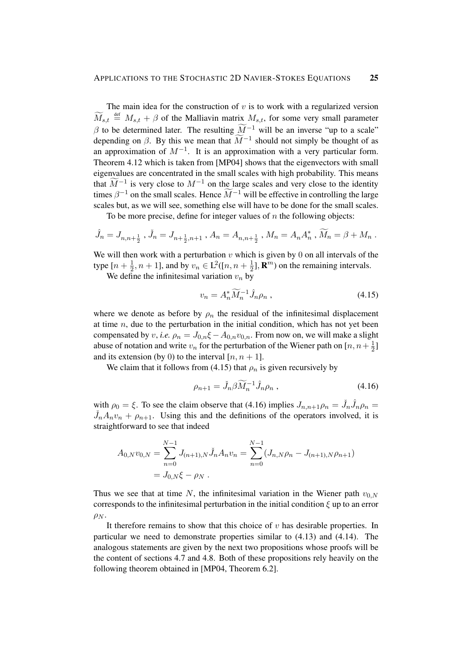The main idea for the construction of  $v$  is to work with a regularized version  $\widetilde{M}_{s,t} \triangleq M_{s,t} + \beta$  of the Malliavin matrix  $M_{s,t}$ , for some very small parameter β to be determined later. The resulting  $\widetilde{M}^{-1}$  will be an inverse "up to a scale" depending on  $\beta$ . By this we mean that  $\widetilde{M}^{-1}$  should not simply be thought of as an approximation of  $M^{-1}$ . It is an approximation with a very particular form. Theorem 4.12 which is taken from [MP04] shows that the eigenvectors with small eigenvalues are concentrated in the small scales with high probability. This means that  $\widetilde{M}^{-1}$  is very close to  $M^{-1}$  on the large scales and very close to the identity times  $\beta^{-1}$  on the small scales. Hence  $\widetilde{M}^{-1}$  will be effective in controlling the large scales but, as we will see, something else will have to be done for the small scales.

To be more precise, define for integer values of  $n$  the following objects:

$$
\hat{J}_n = J_{n,n+\frac{1}{2}}
$$
,  $\check{J}_n = J_{n+\frac{1}{2},n+1}$ ,  $A_n = A_{n,n+\frac{1}{2}}$ ,  $M_n = A_n A_n^*$ ,  $\widetilde{M}_n = \beta + M_n$ .

We will then work with a perturbation  $v$  which is given by 0 on all intervals of the type  $[n + \frac{1}{2}]$  $\frac{1}{2}$ ,  $n+1$ ], and by  $v_n \in L^2([n, n + \frac{1}{2})$  $\frac{1}{2}$ ], **R**<sup>*m*</sup>) on the remaining intervals.

We define the infinitesimal variation  $v_n$  by

$$
v_n = A_n^* \widetilde{M}_n^{-1} \hat{J}_n \rho_n , \qquad (4.15)
$$

where we denote as before by  $\rho_n$  the residual of the infinitesimal displacement at time  $n$ , due to the perturbation in the initial condition, which has not yet been compensated by v, *i.e.*  $\rho_n = J_{0,n} \xi - A_{0,n} v_{0,n}$ . From now on, we will make a slight abuse of notation and write  $v_n$  for the perturbation of the Wiener path on [ $n, n+\frac{1}{2}$ ]  $rac{1}{2}$ ] and its extension (by 0) to the interval  $[n, n + 1]$ .

We claim that it follows from (4.15) that  $\rho_n$  is given recursively by

$$
\rho_{n+1} = \tilde{J}_n \beta \widetilde{M}_n^{-1} \hat{J}_n \rho_n , \qquad (4.16)
$$

with  $\rho_0 = \xi$ . To see the claim observe that (4.16) implies  $J_{n,n+1}\rho_n = \check{J}_n\hat{J}_n\rho_n =$  $\check{J}_n A_n v_n + \rho_{n+1}$ . Using this and the definitions of the operators involved, it is straightforward to see that indeed

$$
A_{0,N}v_{0,N} = \sum_{n=0}^{N-1} J_{(n+1),N} \check{J}_n A_n v_n = \sum_{n=0}^{N-1} (J_{n,N}\rho_n - J_{(n+1),N}\rho_{n+1})
$$
  
=  $J_{0,N}\xi - \rho_N$ .

Thus we see that at time N, the infinitesimal variation in the Wiener path  $v_{0,N}$ corresponds to the infinitesimal perturbation in the initial condition  $\xi$  up to an error  $\rho_N$ .

It therefore remains to show that this choice of  $v$  has desirable properties. In particular we need to demonstrate properties similar to (4.13) and (4.14). The analogous statements are given by the next two propositions whose proofs will be the content of sections 4.7 and 4.8. Both of these propositions rely heavily on the following theorem obtained in [MP04, Theorem 6.2].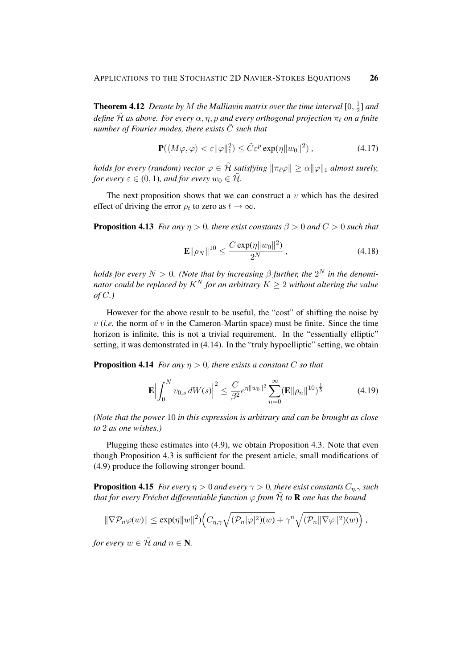**Theorem 4.12** Denote by M the Malliavin matrix over the time interval [0,  $\frac{1}{2}$ ]  $\frac{1}{2}$ ] and *define*  $\tilde{\mathcal{H}}$  *as above. For every*  $\alpha$ *, η, p and every orthogonal projection*  $\pi$   $\ell$  *on a finite number of Fourier modes, there exists*  $\tilde{C}$  *such that* 

$$
\mathbf{P}(\langle M\varphi, \varphi \rangle < \varepsilon ||\varphi||_1^2) \le \tilde{C} \varepsilon^p \exp(\eta ||w_0||^2) \,, \tag{4.17}
$$

*holds for every (random) vector*  $\varphi \in \tilde{\mathcal{H}}$  *satisfying*  $\|\pi_\ell \varphi\| \geq \alpha \|\varphi\|_1$  *almost surely, for every*  $\varepsilon \in (0, 1)$ *, and for every*  $w_0 \in \tilde{\mathcal{H}}$ *.* 

The next proposition shows that we can construct a  $v$  which has the desired effect of driving the error  $\rho_t$  to zero as  $t \to \infty$ .

**Proposition 4.13** *For any*  $\eta > 0$ *, there exist constants*  $\beta > 0$  *and*  $C > 0$  *such that* 

$$
\mathbf{E} \|\rho_N\|^{10} \le \frac{C \exp(\eta \|w_0\|^2)}{2^N} \,, \tag{4.18}
$$

*holds for every*  $N > 0$ . (Note that by increasing  $\beta$  further, the  $2^N$  in the denomi*nator could be replaced by*  $K^N$  *for an arbitrary*  $K \geq 2$  *without altering the value of* C*.)*

However for the above result to be useful, the "cost" of shifting the noise by  $v$  (*i.e.* the norm of  $v$  in the Cameron-Martin space) must be finite. Since the time horizon is infinite, this is not a trivial requirement. In the "essentially elliptic" setting, it was demonstrated in (4.14). In the "truly hypoelliptic" setting, we obtain

**Proposition 4.14** *For any*  $\eta > 0$ *, there exists a constant* C *so that* 

$$
\mathbf{E} \Big| \int_0^N v_{0,s} \, dW(s) \Big|^2 \le \frac{C}{\beta^2} e^{\eta \|w_0\|^2} \sum_{n=0}^\infty (\mathbf{E} \|\rho_n\|^{10})^{\frac{1}{5}} \tag{4.19}
$$

*(Note that the power* 10 *in this expression is arbitrary and can be brought as close to* 2 *as one wishes.)*

Plugging these estimates into (4.9), we obtain Proposition 4.3. Note that even though Proposition 4.3 is sufficient for the present article, small modifications of (4.9) produce the following stronger bound.

**Proposition 4.15** *For every*  $\eta > 0$  *and every*  $\gamma > 0$ *, there exist constants*  $C_{\eta,\gamma}$  *such that for every Fréchet differentiable function*  $\varphi$  *from*  $\hat{H}$  *to* **R** *one has the bound* 

$$
\|\nabla \mathcal{P}_n \varphi(w)\| \le \exp(\eta \|w\|^2) \Big(C_{\eta,\gamma} \sqrt{(\mathcal{P}_n |\varphi|^2)(w)} + \gamma^n \sqrt{(\mathcal{P}_n \|\nabla \varphi\|^2)(w)}\Big) ,
$$

*for every*  $w \in \tilde{\mathcal{H}}$  *and*  $n \in \mathbb{N}$ *.*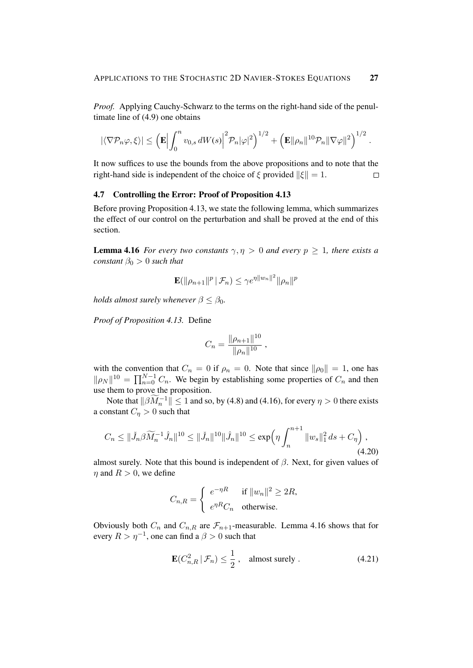*Proof.* Applying Cauchy-Schwarz to the terms on the right-hand side of the penultimate line of (4.9) one obtains

$$
|\langle \nabla \mathcal{P}_n \varphi, \xi \rangle| \leq \left(\mathbf{E} \Big| \int_0^n v_{0,s} \, dW(s) \Big|^2 \mathcal{P}_n |\varphi|^2 \right)^{1/2} + \left(\mathbf{E} \|\rho_n\|^{10} \mathcal{P}_n \|\nabla \varphi\|^2\right)^{1/2}.
$$

It now suffices to use the bounds from the above propositions and to note that the right-hand side is independent of the choice of  $\xi$  provided  $\|\xi\| = 1$ .  $\Box$ 

## 4.7 Controlling the Error: Proof of Proposition 4.13

Before proving Proposition 4.13, we state the following lemma, which summarizes the effect of our control on the perturbation and shall be proved at the end of this section.

**Lemma 4.16** *For every two constants*  $\gamma, \eta > 0$  *and every*  $p > 1$ *, there exists a constant*  $\beta_0 > 0$  *such that* 

$$
\mathbf{E}(\|\rho_{n+1}\|^p \,|\, \mathcal{F}_n) \leq \gamma e^{\eta \|w_n\|^2} \|\rho_n\|^p
$$

*holds almost surely whenever*  $\beta \leq \beta_0$ *.* 

*Proof of Proposition 4.13.* Define

$$
C_n = \frac{\|\rho_{n+1}\|^{10}}{\|\rho_n\|^{10}},
$$

with the convention that  $C_n = 0$  if  $\rho_n = 0$ . Note that since  $\|\rho_0\| = 1$ , one has  $\|\rho_N\|^{10} = \prod_{n=0}^{N-1} C_n$ . We begin by establishing some properties of  $C_n$  and then use them to prove the proposition.

Note that  $\|\beta \widetilde{M}_n^{-1}\| \leq 1$  and so, by (4.8) and (4.16), for every  $\eta > 0$  there exists a constant  $C_n > 0$  such that

$$
C_n \leq \|\tilde{J}_n\beta \widetilde{M}_n^{-1} \hat{J}_n\|^{10} \leq \|\tilde{J}_n\|^{10} \|\hat{J}_n\|^{10} \leq \exp\left(\eta \int_n^{n+1} \|w_s\|_1^2 ds + C_\eta\right),\tag{4.20}
$$

almost surely. Note that this bound is independent of  $\beta$ . Next, for given values of  $\eta$  and  $R > 0$ , we define

$$
C_{n,R} = \begin{cases} e^{-\eta R} & \text{if } ||w_n||^2 \ge 2R, \\ e^{\eta R} C_n & \text{otherwise.} \end{cases}
$$

Obviously both  $C_n$  and  $C_{n,R}$  are  $\mathcal{F}_{n+1}$ -measurable. Lemma 4.16 shows that for every  $R > \eta^{-1}$ , one can find a  $\beta > 0$  such that

$$
\mathbf{E}(C_{n,R}^2 \,|\, \mathcal{F}_n) \le \frac{1}{2}, \quad \text{almost surely}. \tag{4.21}
$$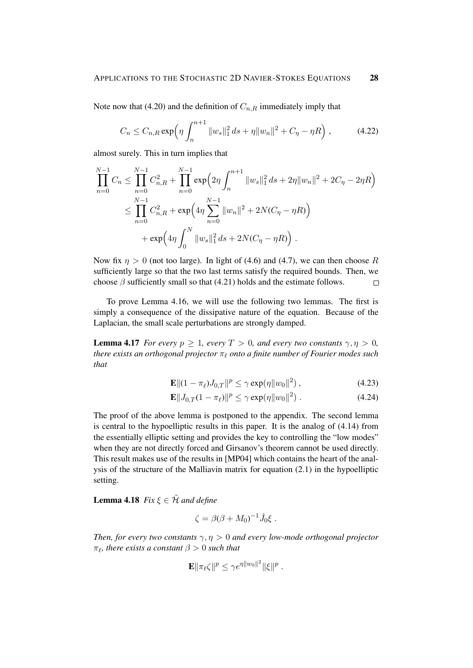Note now that (4.20) and the definition of  $C_{n,R}$  immediately imply that

$$
C_n \leq C_{n,R} \exp\left(\eta \int_n^{n+1} \|w_s\|_1^2 ds + \eta \|w_n\|^2 + C_\eta - \eta R\right),\tag{4.22}
$$

almost surely. This in turn implies that

$$
\prod_{n=0}^{N-1} C_n \le \prod_{n=0}^{N-1} C_{n,R}^2 + \prod_{n=0}^{N-1} \exp\Big(2\eta \int_n^{n+1} \|w_s\|_1^2 ds + 2\eta \|w_n\|^2 + 2C_\eta - 2\eta R\Big)
$$
  

$$
\le \prod_{n=0}^{N-1} C_{n,R}^2 + \exp\Big(4\eta \sum_{n=0}^{N-1} \|w_n\|^2 + 2N(C_\eta - \eta R)\Big)
$$
  

$$
+ \exp\Big(4\eta \int_0^N \|w_s\|_1^2 ds + 2N(C_\eta - \eta R)\Big).
$$

Now fix  $\eta > 0$  (not too large). In light of (4.6) and (4.7), we can then choose R sufficiently large so that the two last terms satisfy the required bounds. Then, we choose  $\beta$  sufficiently small so that (4.21) holds and the estimate follows.  $\Box$ 

To prove Lemma 4.16, we will use the following two lemmas. The first is simply a consequence of the dissipative nature of the equation. Because of the Laplacian, the small scale perturbations are strongly damped.

**Lemma 4.17** *For every*  $p \geq 1$ *, every*  $T > 0$ *, and every two constants*  $\gamma, \eta > 0$ *, there exists an orthogonal projector*  $\pi$ <sub> $\ell$ </sub> *onto a finite number of Fourier modes such that*

$$
\mathbf{E} \|(1 - \pi_{\ell}) J_{0,T} \|^p \le \gamma \exp(\eta \|w_0\|^2), \tag{4.23}
$$

$$
\mathbf{E}||J_{0,T}(1-\pi_{\ell})||^{p} \leq \gamma \exp(\eta ||w_{0}||^{2}). \tag{4.24}
$$

The proof of the above lemma is postponed to the appendix. The second lemma is central to the hypoelliptic results in this paper. It is the analog of (4.14) from the essentially elliptic setting and provides the key to controlling the "low modes" when they are not directly forced and Girsanov's theorem cannot be used directly. This result makes use of the results in [MP04] which contains the heart of the analysis of the structure of the Malliavin matrix for equation (2.1) in the hypoelliptic setting.

**Lemma 4.18** *Fix*  $\xi \in \tilde{\mathcal{H}}$  *and define* 

$$
\zeta = \beta(\beta + M_0)^{-1}\hat{J}_0\xi.
$$

*Then, for every two constants*  $\gamma$ ,  $\eta > 0$  *and every low-mode orthogonal projector*  $\pi_{\ell}$ , there exists a constant  $\beta > 0$  such that

$$
\mathbf{E} \|\pi_\ell \zeta\|^p \leq \gamma e^{\eta \|w_0\|^2} \|\xi\|^p.
$$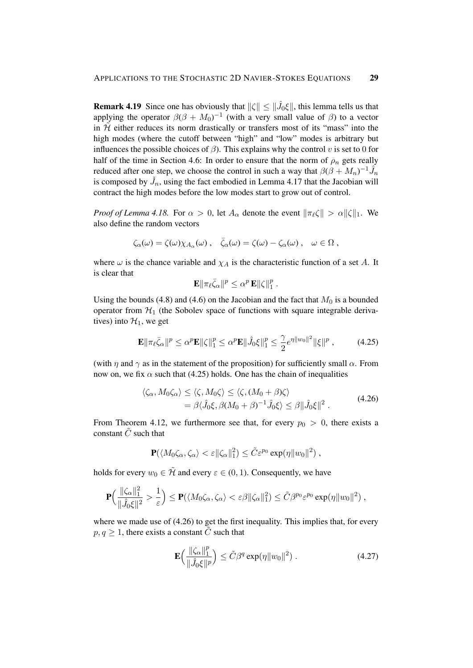**Remark 4.19** Since one has obviously that  $\|\zeta\| \leq \|\hat{J}_0\xi\|$ , this lemma tells us that applying the operator  $\beta(\beta + M_0)^{-1}$  (with a very small value of  $\beta$ ) to a vector in  $\tilde{\mathcal{H}}$  either reduces its norm drastically or transfers most of its "mass" into the high modes (where the cutoff between "high" and "low" modes is arbitrary but influences the possible choices of  $\beta$ ). This explains why the control v is set to 0 for half of the time in Section 4.6: In order to ensure that the norm of  $\rho_n$  gets really reduced after one step, we choose the control in such a way that  $\beta(\beta + M_n)^{-1} \hat{J}_n$ is composed by  $\check{J}_n$ , using the fact embodied in Lemma 4.17 that the Jacobian will contract the high modes before the low modes start to grow out of control.

*Proof of Lemma 4.18.* For  $\alpha > 0$ , let  $A_{\alpha}$  denote the event  $\|\pi_{\beta}\zeta\| > \alpha \|\zeta\|_1$ . We also define the random vectors

$$
\zeta_\alpha(\omega) = \zeta(\omega) \chi_{A_\alpha}(\omega) , \quad \bar{\zeta}_\alpha(\omega) = \zeta(\omega) - \zeta_\alpha(\omega) , \quad \omega \in \Omega ,
$$

where  $\omega$  is the chance variable and  $\chi_A$  is the characteristic function of a set A. It is clear that

$$
\mathbf{E} \|\pi_\ell \bar{\zeta}_\alpha\|^p \leq \alpha^p \mathbf{E} \|\zeta\|_1^p.
$$

Using the bounds (4.8) and (4.6) on the Jacobian and the fact that  $M_0$  is a bounded operator from  $H_1$  (the Sobolev space of functions with square integrable derivatives) into  $\mathcal{H}_1$ , we get

$$
\mathbf{E} \|\pi_{\ell}\bar{\zeta}_{\alpha}\|^{p} \leq \alpha^{p} \mathbf{E} \|\zeta\|_{1}^{p} \leq \alpha^{p} \mathbf{E} \|\hat{J}_{0}\xi\|_{1}^{p} \leq \frac{\gamma}{2} e^{\eta \|w_{0}\|^{2}} \|\xi\|^{p} ,\qquad (4.25)
$$

(with  $\eta$  and  $\gamma$  as in the statement of the proposition) for sufficiently small  $\alpha$ . From now on, we fix  $\alpha$  such that (4.25) holds. One has the chain of inequalities

$$
\langle \zeta_{\alpha}, M_0 \zeta_{\alpha} \rangle \le \langle \zeta, M_0 \zeta \rangle \le \langle \zeta, (M_0 + \beta) \zeta \rangle = \beta \langle \hat{J}_0 \xi, \beta (M_0 + \beta)^{-1} \hat{J}_0 \xi \rangle \le \beta ||\hat{J}_0 \xi||^2.
$$
 (4.26)

From Theorem 4.12, we furthermore see that, for every  $p_0 > 0$ , there exists a constant  $\tilde{C}$  such that

$$
\mathbf{P}(\langle M_0\zeta_\alpha,\zeta_\alpha\rangle<\varepsilon||\zeta_\alpha||_1^2)\leq \tilde{C}\varepsilon^{p_0}\exp(\eta||w_0||^2)\;,
$$

holds for every  $w_0 \in \tilde{\mathcal{H}}$  and every  $\varepsilon \in (0, 1)$ . Consequently, we have

$$
\mathbf{P}\Big(\frac{\|\zeta_{\alpha}\|_1^2}{\|\hat{J}_0\xi\|^2} > \frac{1}{\varepsilon}\Big) \leq \mathbf{P}(\langle M_0\zeta_{\alpha},\zeta_{\alpha}\rangle < \varepsilon\beta\|\zeta_{\alpha}\|_1^2) \leq \tilde{C}\beta^{p_0}\varepsilon^{p_0}\exp(\eta\|w_0\|^2) ,
$$

where we made use of  $(4.26)$  to get the first inequality. This implies that, for every  $p, q \geq 1$ , there exists a constant C such that

$$
\mathbf{E}\Big(\frac{\|\zeta_{\alpha}\|_{1}^{p}}{\|\hat{J}_{0}\xi\|^{p}}\Big) \leq \tilde{C}\beta^{q} \exp(\eta \|w_{0}\|^{2}). \tag{4.27}
$$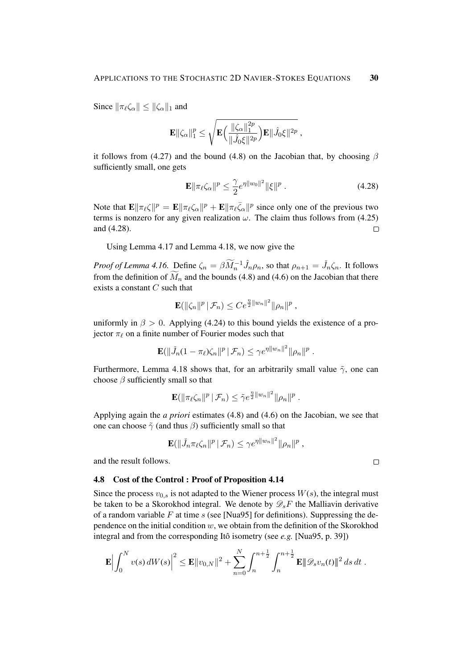Since  $\|\pi_{\ell}\zeta_{\alpha}\| \leq \|\zeta_{\alpha}\|_1$  and

$$
\mathbf{E}\|\zeta_\alpha\|_1^p \leq \sqrt{\mathbf{E}\Big(\frac{\|\zeta_\alpha\|_1^{2p}}{\|\hat{J}_0\xi\|^{2p}}\Big)\mathbf{E}\|\hat{J}_0\xi\|^{2p}}\,,
$$

it follows from (4.27) and the bound (4.8) on the Jacobian that, by choosing  $\beta$ sufficiently small, one gets

$$
\mathbf{E} \|\pi_{\ell}\zeta_{\alpha}\|^{p} \leq \frac{\gamma}{2} e^{\eta \|w_{0}\|^{2}} \|\xi\|^{p} . \tag{4.28}
$$

Note that  $\mathbf{E} \|\pi_\ell \zeta \|^{p} = \mathbf{E} \|\pi_\ell \zeta_\alpha\|^p + \mathbf{E} \|\pi_\ell \bar{\zeta}_\alpha\|^p$  since only one of the previous two terms is nonzero for any given realization  $\omega$ . The claim thus follows from (4.25) and (4.28).  $\Box$ 

Using Lemma 4.17 and Lemma 4.18, we now give the

*Proof of Lemma 4.16.* Define  $\zeta_n = \beta \widetilde{M}_n^{-1} \hat{J}_n \rho_n$ , so that  $\rho_{n+1} = \check{J}_n \zeta_n$ . It follows from the definition of  $\tilde{M}_n$  and the bounds (4.8) and (4.6) on the Jacobian that there exists a constant  $C$  such that

$$
\mathbf{E}(\|\zeta_n\|^p \,|\, \mathcal{F}_n) \leq Ce^{\frac{\eta}{2}\|w_n\|^2} \|\rho_n\|^p,
$$

uniformly in  $\beta > 0$ . Applying (4.24) to this bound yields the existence of a projector  $\pi_{\ell}$  on a finite number of Fourier modes such that

$$
\mathbf{E}(\|\check{J}_n(1-\pi_{\ell})\zeta_n\|^p \,|\,\mathcal{F}_n) \leq \gamma e^{\eta \|w_n\|^2} \|\rho_n\|^p.
$$

Furthermore, Lemma 4.18 shows that, for an arbitrarily small value  $\tilde{\gamma}$ , one can choose  $\beta$  sufficiently small so that

$$
\mathbf{E}(\|\pi_{\ell}\zeta_n\|^p \,|\,\mathcal{F}_n) \leq \tilde{\gamma} e^{\frac{\eta}{2}\|w_n\|^2} \|\rho_n\|^p.
$$

Applying again the *a priori* estimates (4.8) and (4.6) on the Jacobian, we see that one can choose  $\tilde{\gamma}$  (and thus  $\beta$ ) sufficiently small so that

$$
\mathbf{E}(\|\tilde{J}_n\pi_{\ell}\zeta_n\|^p \,|\,\mathcal{F}_n) \leq \gamma e^{\eta \|w_n\|^2} \|\rho_n\|^p,
$$

 $\alpha = 2$ 

 $\Box$ 

and the result follows.

#### 4.8 Cost of the Control : Proof of Proposition 4.14

Since the process  $v_{0,s}$  is not adapted to the Wiener process  $W(s)$ , the integral must be taken to be a Skorokhod integral. We denote by  $\mathcal{D}_sF$  the Malliavin derivative of a random variable F at time  $s$  (see [Nua95] for definitions). Suppressing the dependence on the initial condition  $w$ , we obtain from the definition of the Skorokhod integral and from the corresponding Itô isometry (see *e.g.* [Nua95, p. 39])

$$
\mathbf{E}\Big|\int_0^N v(s)\,dW(s)\Big|^2 \leq \mathbf{E}\|v_{0,N}\|^2 + \sum_{n=0}^N \int_n^{n+\frac{1}{2}} \int_n^{n+\frac{1}{2}} \mathbf{E}\|\mathscr{D}_s v_n(t)\|^2\,ds\,dt.
$$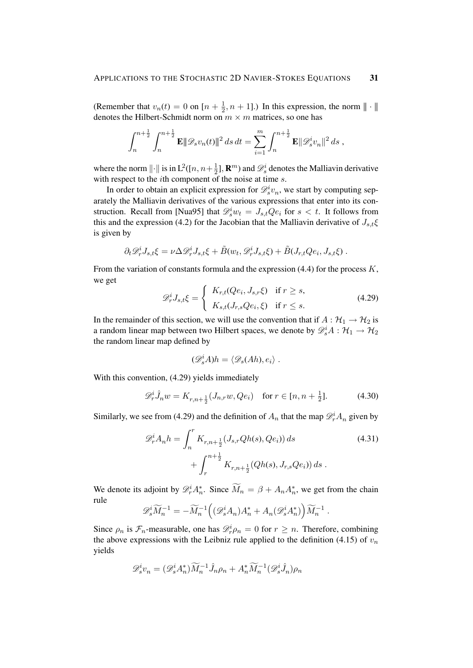(Remember that  $v_n(t) = 0$  on  $\left[ n + \frac{1}{2} \right]$  $\frac{1}{2}$ ,  $n + 1$ ].) In this expression, the norm  $\|\cdot\|$ denotes the Hilbert-Schmidt norm on  $m \times m$  matrices, so one has

$$
\int_n^{n+\frac{1}{2}} \int_n^{n+\frac{1}{2}} \mathbf{E} \|\mathscr{D}_s v_n(t)\|^2 ds dt = \sum_{i=1}^m \int_n^{n+\frac{1}{2}} \mathbf{E} \|\mathscr{D}_s^i v_n\|^2 ds,
$$

where the norm  $\|\cdot\|$  is in  $L^2([n, n+\frac{1}{2}$  $\frac{1}{2}$ ], **R**<sup>*m*</sup>) and  $\mathscr{D}_s^i$  denotes the Malliavin derivative with respect to the *i*th component of the noise at time *s*.

In order to obtain an explicit expression for  $\mathcal{D}_s^i v_n$ , we start by computing separately the Malliavin derivatives of the various expressions that enter into its construction. Recall from [Nua95] that  $\mathcal{D}_s^i w_t = J_{s,t} Q e_i$  for  $s < t$ . It follows from this and the expression (4.2) for the Jacobian that the Malliavin derivative of  $J_{s,t}\xi$ is given by

$$
\partial_t \mathscr{D}_r^i J_{s,t} \xi = \nu \Delta \mathscr{D}_r^i J_{s,t} \xi + \tilde{B}(w_t, \mathscr{D}_r^i J_{s,t} \xi) + \tilde{B}(J_{r,t} Q e_i, J_{s,t} \xi) .
$$

From the variation of constants formula and the expression  $(4.4)$  for the process K, we get

$$
\mathcal{D}_r^i J_{s,t} \xi = \begin{cases} K_{r,t}(Qe_i, J_{s,r}\xi) & \text{if } r \ge s, \\ K_{s,t}(J_{r,s}Qe_i, \xi) & \text{if } r \le s. \end{cases}
$$
(4.29)

In the remainder of this section, we will use the convention that if  $A : H_1 \to H_2$  is a random linear map between two Hilbert spaces, we denote by  $\mathscr{D}_s^i A : \mathcal{H}_1 \to \mathcal{H}_2$ the random linear map defined by

$$
(\mathscr{D}_s^i A)h = \langle \mathscr{D}_s (Ah), e_i \rangle .
$$

With this convention, (4.29) yields immediately

$$
\mathcal{D}_r^i \hat{J}_n w = K_{r,n+\frac{1}{2}}(J_{n,r} w, Qe_i) \quad \text{for } r \in [n, n+\frac{1}{2}]. \tag{4.30}
$$

Similarly, we see from (4.29) and the definition of  $A_n$  that the map  $\mathscr{D}_r^i A_n$  given by

$$
\mathcal{D}_r^i A_n h = \int_n^r K_{r, n+\frac{1}{2}}(J_{s,r}Qh(s), Qe_i) ds
$$
\n
$$
+ \int_r^{n+\frac{1}{2}} K_{r, n+\frac{1}{2}}(Qh(s), J_{r,s}Qe_i) ds.
$$
\n(4.31)

We denote its adjoint by  $\mathscr{D}_r^i A_n^*$ . Since  $\widetilde{M}_n = \beta + A_n A_n^*$ , we get from the chain rule

$$
\mathscr{D}_s^i \widetilde{M}_n^{-1} = -\widetilde{M}_n^{-1} \Big( (\mathscr{D}_s^i A_n) A_n^* + A_n (\mathscr{D}_s^i A_n^*) \Big) \widetilde{M}_n^{-1} .
$$

Since  $\rho_n$  is  $\mathcal{F}_n$ -measurable, one has  $\mathcal{D}_r^i \rho_n = 0$  for  $r \geq n$ . Therefore, combining the above expressions with the Leibniz rule applied to the definition (4.15) of  $v_n$ yields

$$
\mathscr{D}_s^i v_n = (\mathscr{D}_s^i A_n^*) \widetilde{M}_n^{-1} \widehat{J}_n \rho_n + A_n^* \widetilde{M}_n^{-1} (\mathscr{D}_s^i \widehat{J}_n) \rho_n
$$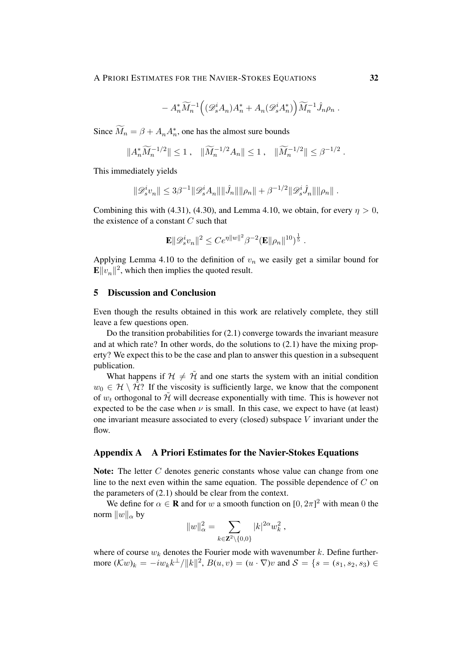$$
- A_n^* \widetilde{M}_n^{-1} \Big( (\mathscr{D}^i_s A_n) A_n^* + A_n (\mathscr{D}^i_s A_n^*) \Big) \widetilde{M}_n^{-1} \hat{J}_n \rho_n .
$$

Since  $\widetilde{M}_n = \beta + A_n A_n^*$ , one has the almost sure bounds

$$
||A_n^* \widetilde{M}_n^{-1/2}|| \le 1 \,, \quad ||\widetilde{M}_n^{-1/2} A_n|| \le 1 \,, \quad ||\widetilde{M}_n^{-1/2}|| \le \beta^{-1/2} \,.
$$

This immediately yields

$$
\|\mathscr{D}_s^i v_n\| \leq 3\beta^{-1} \|\mathscr{D}_s^i A_n\| \|\hat{J}_n\| \|\rho_n\| + \beta^{-1/2} \|\mathscr{D}_s^i \hat{J}_n\| \|\rho_n\|.
$$

Combining this with (4.31), (4.30), and Lemma 4.10, we obtain, for every  $\eta > 0$ , the existence of a constant  $C$  such that

$$
\mathbf{E} \|\mathscr{D}_s^i v_n\|^2 \leq Ce^{\eta \|w\|^2} \beta^{-2} (\mathbf{E} \|\rho_n\|^{10})^{\frac{1}{5}}.
$$

Applying Lemma 4.10 to the definition of  $v_n$  we easily get a similar bound for  $\mathbf{E} \Vert v_n \Vert^2$ , which then implies the quoted result.

## 5 Discussion and Conclusion

Even though the results obtained in this work are relatively complete, they still leave a few questions open.

Do the transition probabilities for (2.1) converge towards the invariant measure and at which rate? In other words, do the solutions to  $(2.1)$  have the mixing property? We expect this to be the case and plan to answer this question in a subsequent publication.

What happens if  $H \neq \tilde{H}$  and one starts the system with an initial condition  $w_0 \in \mathcal{H} \setminus \tilde{\mathcal{H}}$ ? If the viscosity is sufficiently large, we know that the component of  $w_t$  orthogonal to  $\tilde{\mathcal{H}}$  will decrease exponentially with time. This is however not expected to be the case when  $\nu$  is small. In this case, we expect to have (at least) one invariant measure associated to every (closed) subspace  $V$  invariant under the flow.

## Appendix A A Priori Estimates for the Navier-Stokes Equations

Note: The letter C denotes generic constants whose value can change from one line to the next even within the same equation. The possible dependence of  $C$  on the parameters of (2.1) should be clear from the context.

We define for  $\alpha \in \mathbf{R}$  and for w a smooth function on  $[0, 2\pi]^2$  with mean 0 the norm  $||w||_{\alpha}$  by

$$
||w||_{\alpha}^{2} = \sum_{k \in \mathbf{Z}^{2} \setminus \{0,0\}} |k|^{2\alpha} w_{k}^{2},
$$

where of course  $w_k$  denotes the Fourier mode with wavenumber k. Define furthermore  $(\mathcal{K}w)_k = -iw_k k^{\perp}/||k||^2$ ,  $B(u, v) = (u \cdot \nabla)v$  and  $S = \{s = (s_1, s_2, s_3) \in$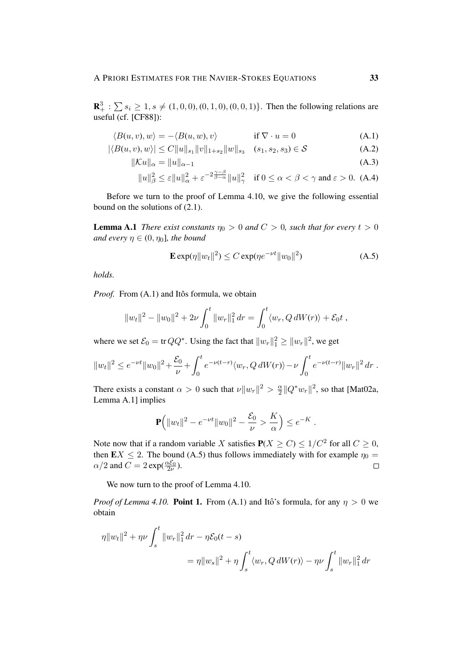$\mathbf{R}_+^3$ :  $\sum s_i \ge 1, s \ne (1, 0, 0), (0, 1, 0), (0, 0, 1)$ . Then the following relations are useful (cf. [CF88]):

$$
\langle B(u, v), w \rangle = -\langle B(u, w), v \rangle \qquad \text{if } \nabla \cdot u = 0 \tag{A.1}
$$

$$
|\langle B(u, v), w \rangle| \le C \|u\|_{s_1} \|v\|_{1+s_2} \|w\|_{s_3} \quad (s_1, s_2, s_3) \in \mathcal{S}
$$
 (A.2)

$$
\|\mathcal{K}u\|_{\alpha} = \|u\|_{\alpha-1} \tag{A.3}
$$

$$
||u||_{\beta}^{2} \leq \varepsilon ||u||_{\alpha}^{2} + \varepsilon^{-2\frac{\gamma-\beta}{\beta-\alpha}} ||u||_{\gamma}^{2} \quad \text{if } 0 \leq \alpha < \beta < \gamma \text{ and } \varepsilon > 0. \tag{A.4}
$$

Before we turn to the proof of Lemma 4.10, we give the following essential bound on the solutions of (2.1).

**Lemma A.1** *There exist constants*  $\eta_0 > 0$  *and*  $C > 0$ *, such that for every*  $t > 0$ *and every*  $\eta \in (0, \eta_0]$ *, the bound* 

$$
\mathbf{E} \exp(\eta \|w_t\|^2) \le C \exp(\eta e^{-\nu t} \|w_0\|^2) \tag{A.5}
$$

*holds.*

*Proof.* From  $(A.1)$  and Itôs formula, we obtain

$$
||w_t||^2 - ||w_0||^2 + 2\nu \int_0^t ||w_r||_1^2 dr = \int_0^t \langle w_r, Q dW(r) \rangle + \mathcal{E}_0 t,
$$

where we set  $\mathcal{E}_0 = \text{tr }QQ^*$ . Using the fact that  $||w_r||_1^2 \ge ||w_r||^2$ , we get

$$
||w_t||^2 \leq e^{-\nu t} ||w_0||^2 + \frac{\mathcal{E}_0}{\nu} + \int_0^t e^{-\nu(t-r)} \langle w_r, Q \, dW(r) \rangle - \nu \int_0^t e^{-\nu(t-r)} ||w_r||^2 \, dr.
$$

There exists a constant  $\alpha > 0$  such that  $\nu ||w_r||^2 > \frac{\alpha}{2}$  $\frac{\alpha}{2}$ || $Q^*w_r$ ||<sup>2</sup>, so that [Mat02a, Lemma A.1] implies

$$
\mathbf{P}\Big(\|w_t\|^2 - e^{-\nu t}\|w_0\|^2 - \frac{\mathcal{E}_0}{\nu} > \frac{K}{\alpha}\Big) \leq e^{-K}.
$$

Note now that if a random variable X satisfies  $P(X \ge C) \le 1/C^2$  for all  $C \ge 0$ , then  $EX \le 2$ . The bound (A.5) thus follows immediately with for example  $\eta_0 =$  $\alpha/2$  and  $C = 2 \exp(\frac{\alpha \mathcal{E}_0}{2\nu}).$  $\Box$ 

We now turn to the proof of Lemma 4.10.

*Proof of Lemma 4.10.* Point 1. From (A.1) and Itô's formula, for any  $\eta > 0$  we obtain

$$
\eta \|w_t\|^2 + \eta \nu \int_s^t \|w_r\|_1^2 dr - \eta \mathcal{E}_0(t - s)
$$
  
= 
$$
\eta \|w_s\|^2 + \eta \int_s^t \langle w_r, Q \, dW(r) \rangle - \eta \nu \int_s^t \|w_r\|_1^2 dr
$$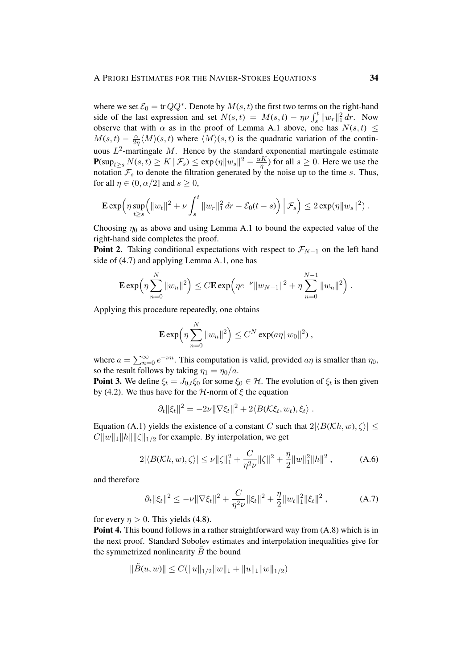where we set  $\mathcal{E}_0 = \text{tr }QQ^*$ . Denote by  $M(s, t)$  the first two terms on the right-hand side of the last expression and set  $N(s,t) = M(s,t) - \eta \nu \int_s^t ||w_r||_1^2 dr$ . Now observe that with  $\alpha$  as in the proof of Lemma A.1 above, one has  $N(s, t) \leq$  $M(s,t) - \frac{\alpha}{2s}$  $\frac{\alpha}{2\eta} \langle M \rangle$ (s, t) where  $\langle M \rangle$ (s, t) is the quadratic variation of the continuous  $L^2$ -martingale M. Hence by the standard exponential martingale estimate  $\mathbf{P}(\sup_{t\geq s} N(s,t) \geq K \,|\,\mathcal{F}_s) \leq \exp(\eta \|w_s\|^2 - \frac{\alpha K}{\eta})$  $\frac{dK}{\eta}$ ) for all  $s \geq 0$ . Here we use the notation  $\mathcal{F}_s$  to denote the filtration generated by the noise up to the time s. Thus, for all  $\eta \in (0, \alpha/2]$  and  $s \geq 0$ ,

$$
\mathbf{E} \exp \Big( \eta \sup_{t \ge s} \Big( \|w_t\|^2 + \nu \int_s^t \|w_r\|_1^2 dr - \mathcal{E}_0(t-s) \Big) \Big| \, \mathcal{F}_s \Big) \le 2 \exp(\eta \|w_s\|^2) \; .
$$

Choosing  $\eta_0$  as above and using Lemma A.1 to bound the expected value of the right-hand side completes the proof.

**Point 2.** Taking conditional expectations with respect to  $\mathcal{F}_{N-1}$  on the left hand side of (4.7) and applying Lemma A.1, one has

$$
\mathbf{E} \exp \left(\eta \sum_{n=0}^N \|w_n\|^2\right) \leq C \mathbf{E} \exp \left(\eta e^{-\nu} \|w_{N-1}\|^2 + \eta \sum_{n=0}^{N-1} \|w_n\|^2\right).
$$

Applying this procedure repeatedly, one obtains

$$
\mathbf{E} \exp\left(\eta \sum_{n=0}^N \|w_n\|^2\right) \leq C^N \exp(a\eta \|w_0\|^2),
$$

where  $a = \sum_{n=0}^{\infty} e^{-\nu n}$ . This computation is valid, provided  $a\eta$  is smaller than  $\eta_0$ , so the result follows by taking  $\eta_1 = \eta_0/a$ .

**Point 3.** We define  $\xi_t = J_{0,t} \xi_0$  for some  $\xi_0 \in \mathcal{H}$ . The evolution of  $\xi_t$  is then given by (4.2). We thus have for the  $H$ -norm of  $\xi$  the equation

$$
\partial_t ||\xi_t||^2 = -2\nu ||\nabla \xi_t||^2 + 2\langle B(\mathcal{K}\xi_t, w_t), \xi_t \rangle.
$$

Equation (A.1) yields the existence of a constant C such that  $2|\langle B(\mathcal{K}h, w), \zeta \rangle| \le$  $C||w||_1 ||h|| ||\zeta||_{1/2}$  for example. By interpolation, we get

$$
2|\langle B(Kh, w), \zeta \rangle| \le \nu \|\zeta\|_1^2 + \frac{C}{\eta^2 \nu} \|\zeta\|^2 + \frac{\eta}{2} \|w\|_1^2 \|h\|^2 , \tag{A.6}
$$

and therefore

$$
\partial_t \|\xi_t\|^2 \leq -\nu \|\nabla \xi_t\|^2 + \frac{C}{\eta^2 \nu} \|\xi_t\|^2 + \frac{\eta}{2} \|w_t\|_1^2 \|\xi_t\|^2 ,\tag{A.7}
$$

for every  $\eta > 0$ . This yields (4.8).

Point 4. This bound follows in a rather straightforward way from (A.8) which is in the next proof. Standard Sobolev estimates and interpolation inequalities give for the symmetrized nonlinearity  $\ddot{B}$  the bound

$$
\|\tilde{B}(u,w)\| \le C(\|u\|_{1/2}\|w\|_1 + \|u\|_1\|w\|_{1/2})
$$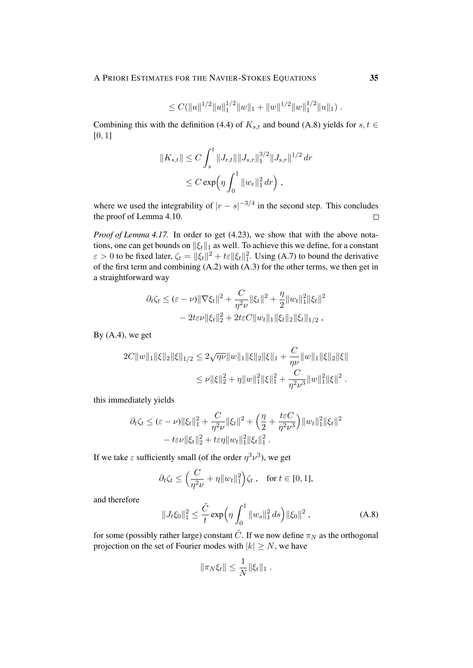$$
\leq C(||u||^{1/2}||u||_1^{1/2}||w||_1+||w||^{1/2}||w||_1^{1/2}||u||_1).
$$

Combining this with the definition (4.4) of  $K_{s,t}$  and bound (A.8) yields for  $s, t \in$  $[0, 1]$ 

$$
||K_{s,t}|| \leq C \int_s^t ||J_{r,t}|| ||J_{s,r}||_1^{3/2} ||J_{s,r}||^{1/2} dr
$$
  

$$
\leq C \exp\left(\eta \int_0^1 ||w_r||_1^2 dr\right),
$$

where we used the integrability of  $|r - s|^{-3/4}$  in the second step. This concludes the proof of Lemma 4.10.  $\Box$ 

*Proof of Lemma 4.17.* In order to get (4.23), we show that with the above notations, one can get bounds on  $\|\xi_t\|_1$  as well. To achieve this we define, for a constant  $\varepsilon > 0$  to be fixed later,  $\zeta_t = ||\xi_t||^2 + t\varepsilon ||\xi_t||_1^2$ . Using (A.7) to bound the derivative of the first term and combining  $(A.2)$  with  $(A.3)$  for the other terms, we then get in a straightforward way

$$
\partial_t \zeta_t \leq (\varepsilon - \nu) \|\nabla \xi_t\|^2 + \frac{C}{\eta^2 \nu} \|\xi_t\|^2 + \frac{\eta}{2} \|w_t\|_1^2 \|\xi_t\|^2
$$
  
-  $2t \varepsilon \nu \|\xi_t\|_2^2 + 2t \varepsilon C \|w_t\|_1 \|\xi_t\|_2 \|\xi_t\|_{1/2},$ 

By  $(A.4)$ , we get

$$
2C||w||_1||\xi||_2||\xi||_{1/2} \le 2\sqrt{\eta\nu}||w||_1||\xi||_2||\xi||_1 + \frac{C}{\eta\nu}||w||_1||\xi||_2||\xi||
$$
  

$$
\le \nu ||\xi||_2^2 + \eta ||w||_1^2||\xi||_1^2 + \frac{C}{\eta^2\nu^3}||w||_1^2||\xi||^2.
$$

this immediately yields

$$
\partial_t \zeta_t \leq (\varepsilon - \nu) \|\xi_t\|_1^2 + \frac{C}{\eta^2 \nu} \|\xi_t\|^2 + \left(\frac{\eta}{2} + \frac{t\varepsilon C}{\eta^2 \nu^3}\right) \|w_t\|_1^2 \|\xi_t\|^2
$$

$$
- t\varepsilon \nu \|\xi_t\|_2^2 + t\varepsilon \eta \|w_t\|_1^2 \|\xi_t\|_1^2.
$$

If we take  $\varepsilon$  sufficiently small (of the order  $\eta^3 \nu^3$ ), we get

$$
\partial_t \zeta_t \le \Big(\frac{C}{\eta^2 \nu} + \eta \|w_t\|_1^2\Big)\zeta_t , \quad \text{for } t \in [0, 1],
$$

and therefore

$$
||J_t \xi_0||_1^2 \le \frac{\tilde{C}}{t} \exp\left(\eta \int_0^1 ||w_s||_1^2 ds\right) ||\xi_0||^2 , \qquad (A.8)
$$

for some (possibly rather large) constant  $\tilde{C}$ . If we now define  $\pi_N$  as the orthogonal projection on the set of Fourier modes with  $|k| \ge N$ , we have

$$
\|\pi_N \xi_t\| \leq \frac{1}{N} \|\xi_t\|_1.
$$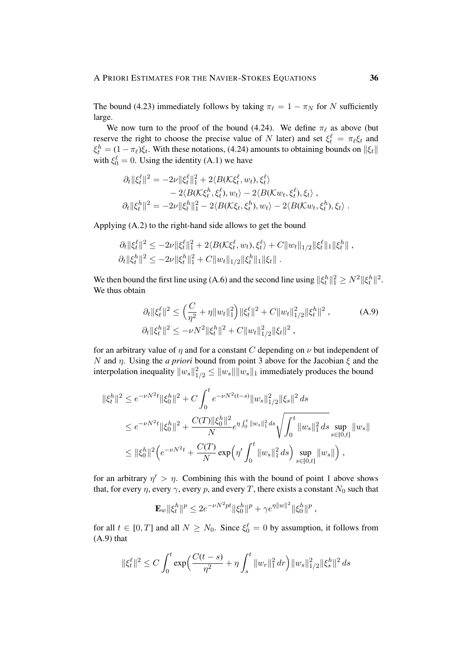The bound (4.23) immediately follows by taking  $\pi_{\ell} = 1 - \pi_N$  for N sufficiently large.

We now turn to the proof of the bound (4.24). We define  $\pi_{\ell}$  as above (but reserve the right to choose the precise value of N later) and set  $\xi_t^{\ell} = \pi_{\ell} \xi_t$  and  $\xi_t^h = (1 - \pi_\ell)\xi_t$ . With these notations, (4.24) amounts to obtaining bounds on  $\|\xi_t\|$ with  $\xi_0^{\ell} = 0$ . Using the identity (A.1) we have

$$
\partial_t ||\xi_t^{\ell}||^2 = -2\nu ||\xi_t^{\ell}||_1^2 + 2\langle B(\mathcal{K}\xi_t^{\ell}, w_t), \xi_t^{\ell}\rangle \n- 2\langle B(\mathcal{K}\xi_t^h, \xi_t^{\ell}), w_t \rangle - 2\langle B(\mathcal{K}w_t, \xi_t^{\ell}), \xi_t \rangle ,\n\partial_t ||\xi_t^h||^2 = -2\nu ||\xi_t^h||_1^2 - 2\langle B(\mathcal{K}\xi_t, \xi_t^h), w_t \rangle - 2\langle B(\mathcal{K}w_t, \xi_t^h), \xi_t \rangle .
$$

Applying (A.2) to the right-hand side allows to get the bound

$$
\partial_t \|\xi_t^{\ell}\|^2 \leq -2\nu \|\xi_t^{\ell}\|^2_1 + 2\langle B(\mathcal{K}\xi_t^{\ell}, w_t), \xi_t^{\ell}\rangle + C \|w_t\|_{1/2} \|\xi_t^{\ell}\|_1 \|\xi_t^h\|,
$$
  

$$
\partial_t \|\xi_t^h\|^2 \leq -2\nu \|\xi_t^h\|^2_1 + C \|w_t\|_{1/2} \|\xi_t^h\|_1 \|\xi_t\|.
$$

We then bound the first line using (A.6) and the second line using  $\|\xi_t^h\|_1^2 \ge N^2 \|\xi_t^h\|^2$ . We thus obtain

$$
\partial_t \|\xi_t^{\ell}\|^2 \le \left(\frac{C}{\eta^2} + \eta \|w_t\|_1^2\right) \|\xi_t^{\ell}\|^2 + C \|w_t\|_{1/2}^2 \|\xi_t^h\|^2 ,\tag{A.9}
$$

$$
\partial_t \|\xi_t^h\|^2 \le -\nu N^2 \|\xi_t^h\|^2 + C \|w_t\|_{1/2}^2 \|\xi_t\|^2 ,
$$

for an arbitrary value of  $\eta$  and for a constant C depending on  $\nu$  but independent of N and  $\eta$ . Using the *a priori* bound from point 3 above for the Jacobian  $\xi$  and the interpolation inequality  $||w_s||_{1/2}^2 \le ||w_s|| ||w_s||_1$  immediately produces the bound

$$
\begin{split} \|\xi_t^h\|^2 &\leq e^{-\nu N^2 t} \|\xi_0^h\|^2 + C \int_0^t e^{-\nu N^2 (t-s)} \|w_s\|_{1/2}^2 \|\xi_s\|^2 \, ds \\ &\leq e^{-\nu N^2 t} \|\xi_0^h\|^2 + \frac{C(T) \|\xi_0^h\|^2}{N} e^{\eta \int_0^t \|w_s\|_1^2 \, ds} \sqrt{\int_0^t \|w_s\|_1^2 \, ds} \sup_{s \in [0,t]} \|w_s\| \\ &\leq \|\xi_0^h\|^2 \Big( e^{-\nu N^2 t} + \frac{C(T)}{N} \exp\Big( \eta' \int_0^t \|w_s\|_1^2 \, ds \Big) \sup_{s \in [0,t]} \|w_s\| \Big) \,, \end{split}
$$

for an arbitrary  $\eta' > \eta$ . Combining this with the bound of point 1 above shows that, for every  $\eta$ , every  $\gamma$ , every p, and every T, there exists a constant  $N_0$  such that

$$
\mathbf{E}_w \|\xi_t^h\|^p \le 2e^{-\nu N^2 pt} \|\xi_0^h\|^p + \gamma e^{\eta \|w\|^2} \|\xi_0^h\|^p,
$$

for all  $t \in [0, T]$  and all  $N \ge N_0$ . Since  $\xi_0^{\ell} = 0$  by assumption, it follows from (A.9) that

$$
\|\xi_t^{\ell}\|^2 \le C \int_0^t \exp\Bigl(\frac{C(t-s)}{\eta^2} + \eta \int_s^t \|w_r\|_1^2 dr\Bigr) \|w_s\|_{1/2}^2 \|\xi_s^h\|^2 ds
$$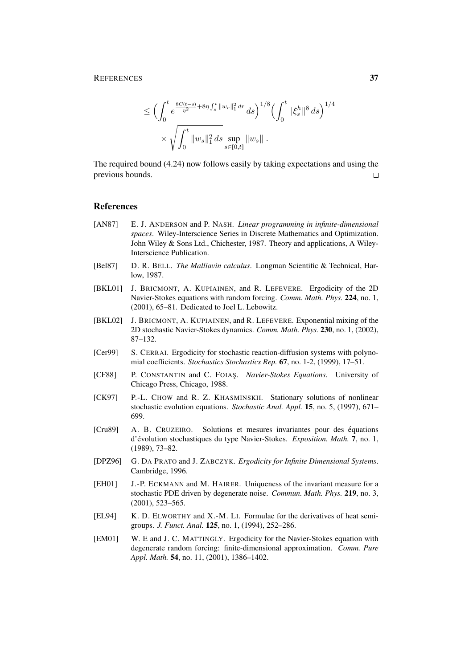$$
\leq \Big( \int_0^t e^{\frac{8C(t-s)}{\eta^2} + 8\eta \int_s^t \|w_r\|_1^2 dr} ds \Big)^{1/8} \Big( \int_0^t \|\xi_s^h\|^8 ds \Big)^{1/4}
$$
  
\$\times \sqrt{\int\_0^t \|w\_s\|\_1^2 ds} \sup\_{s \in [0,t]} \|w\_s\| .

The required bound (4.24) now follows easily by taking expectations and using the previous bounds.  $\Box$ 

## References

- [AN87] E. J. ANDERSON and P. NASH. *Linear programming in infinite-dimensional spaces*. Wiley-Interscience Series in Discrete Mathematics and Optimization. John Wiley & Sons Ltd., Chichester, 1987. Theory and applications, A Wiley-Interscience Publication.
- [Bel87] D. R. BELL. *The Malliavin calculus*. Longman Scientific & Technical, Harlow, 1987.
- [BKL01] J. BRICMONT, A. KUPIAINEN, and R. LEFEVERE. Ergodicity of the 2D Navier-Stokes equations with random forcing. *Comm. Math. Phys.* 224, no. 1, (2001), 65–81. Dedicated to Joel L. Lebowitz.
- [BKL02] J. BRICMONT, A. KUPIAINEN, and R. LEFEVERE. Exponential mixing of the 2D stochastic Navier-Stokes dynamics. *Comm. Math. Phys.* 230, no. 1, (2002), 87–132.
- [Cer99] S. CERRAI. Ergodicity for stochastic reaction-diffusion systems with polynomial coefficients. *Stochastics Stochastics Rep.* 67, no. 1-2, (1999), 17–51.
- [CF88] P. CONSTANTIN and C. FOIAS¸. *Navier-Stokes Equations*. University of Chicago Press, Chicago, 1988.
- [CK97] P.-L. CHOW and R. Z. KHASMINSKII. Stationary solutions of nonlinear stochastic evolution equations. *Stochastic Anal. Appl.* 15, no. 5, (1997), 671– 699.
- [Cru89] A. B. CRUZEIRO. Solutions et mesures invariantes pour des equations ´ d'évolution stochastiques du type Navier-Stokes. *Exposition. Math.* 7, no. 1, (1989), 73–82.
- [DPZ96] G. DA PRATO and J. ZABCZYK. *Ergodicity for Infinite Dimensional Systems*. Cambridge, 1996.
- [EH01] J.-P. ECKMANN and M. HAIRER. Uniqueness of the invariant measure for a stochastic PDE driven by degenerate noise. *Commun. Math. Phys.* 219, no. 3, (2001), 523–565.
- [EL94] K. D. ELWORTHY and X.-M. LI. Formulae for the derivatives of heat semigroups. *J. Funct. Anal.* 125, no. 1, (1994), 252–286.
- [EM01] W. E and J. C. MATTINGLY. Ergodicity for the Navier-Stokes equation with degenerate random forcing: finite-dimensional approximation. *Comm. Pure Appl. Math.* 54, no. 11, (2001), 1386–1402.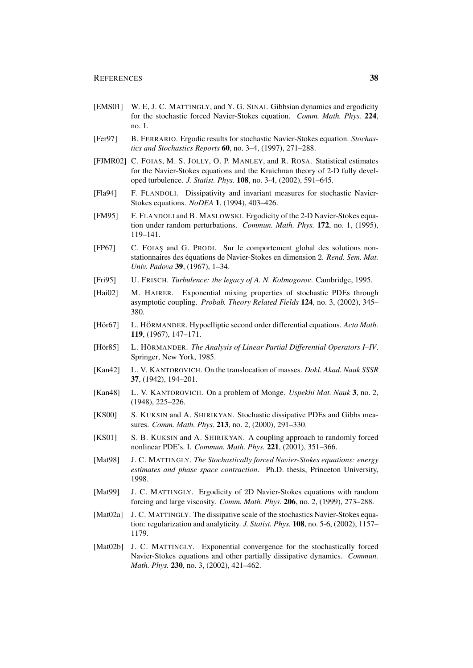- [EMS01] W. E, J. C. MATTINGLY, and Y. G. SINAI. Gibbsian dynamics and ergodicity for the stochastic forced Navier-Stokes equation. *Comm. Math. Phys.* 224, no. 1.
- [Fer97] B. FERRARIO. Ergodic results for stochastic Navier-Stokes equation. *Stochastics and Stochastics Reports* 60, no. 3–4, (1997), 271–288.
- [FJMR02] C. FOIAS, M. S. JOLLY, O. P. MANLEY, and R. ROSA. Statistical estimates for the Navier-Stokes equations and the Kraichnan theory of 2-D fully developed turbulence. *J. Statist. Phys.* 108, no. 3-4, (2002), 591–645.
- [Fla94] F. FLANDOLI. Dissipativity and invariant measures for stochastic Navier-Stokes equations. *NoDEA* 1, (1994), 403–426.
- [FM95] F. FLANDOLI and B. MASLOWSKI. Ergodicity of the 2-D Navier-Stokes equation under random perturbations. *Commun. Math. Phys.* 172, no. 1, (1995), 119–141.
- [FP67] C. FOIAS¸ and G. PRODI. Sur le comportement global des solutions nonstationnaires des équations de Navier-Stokes en dimension 2. *Rend. Sem. Mat. Univ. Padova* 39, (1967), 1–34.
- [Fri95] U. FRISCH. *Turbulence: the legacy of A. N. Kolmogorov*. Cambridge, 1995.
- [Hai02] M. HAIRER. Exponential mixing properties of stochastic PDEs through asymptotic coupling. *Probab. Theory Related Fields* 124, no. 3, (2002), 345– 380.
- [Hör67] L. HÖRMANDER. Hypoelliptic second order differential equations. Acta Math. 119, (1967), 147–171.
- [Hör85] L. HÖRMANDER. *The Analysis of Linear Partial Differential Operators I–IV.* Springer, New York, 1985.
- [Kan42] L. V. KANTOROVICH. On the translocation of masses. *Dokl. Akad. Nauk SSSR* 37, (1942), 194–201.
- [Kan48] L. V. KANTOROVICH. On a problem of Monge. *Uspekhi Mat. Nauk* 3, no. 2, (1948), 225–226.
- [KS00] S. KUKSIN and A. SHIRIKYAN. Stochastic dissipative PDEs and Gibbs measures. *Comm. Math. Phys.* 213, no. 2, (2000), 291–330.
- [KS01] S. B. KUKSIN and A. SHIRIKYAN. A coupling approach to randomly forced nonlinear PDE's. I. *Commun. Math. Phys.* 221, (2001), 351–366.
- [Mat98] J. C. MATTINGLY. *The Stochastically forced Navier-Stokes equations: energy estimates and phase space contraction*. Ph.D. thesis, Princeton University, 1998.
- [Mat99] J. C. MATTINGLY. Ergodicity of 2D Navier-Stokes equations with random forcing and large viscosity. *Comm. Math. Phys.* 206, no. 2, (1999), 273–288.
- [Mat02a] J. C. MATTINGLY. The dissipative scale of the stochastics Navier-Stokes equation: regularization and analyticity. *J. Statist. Phys.* 108, no. 5-6, (2002), 1157– 1179.
- [Mat02b] J. C. MATTINGLY. Exponential convergence for the stochastically forced Navier-Stokes equations and other partially dissipative dynamics. *Commun. Math. Phys.* 230, no. 3, (2002), 421–462.